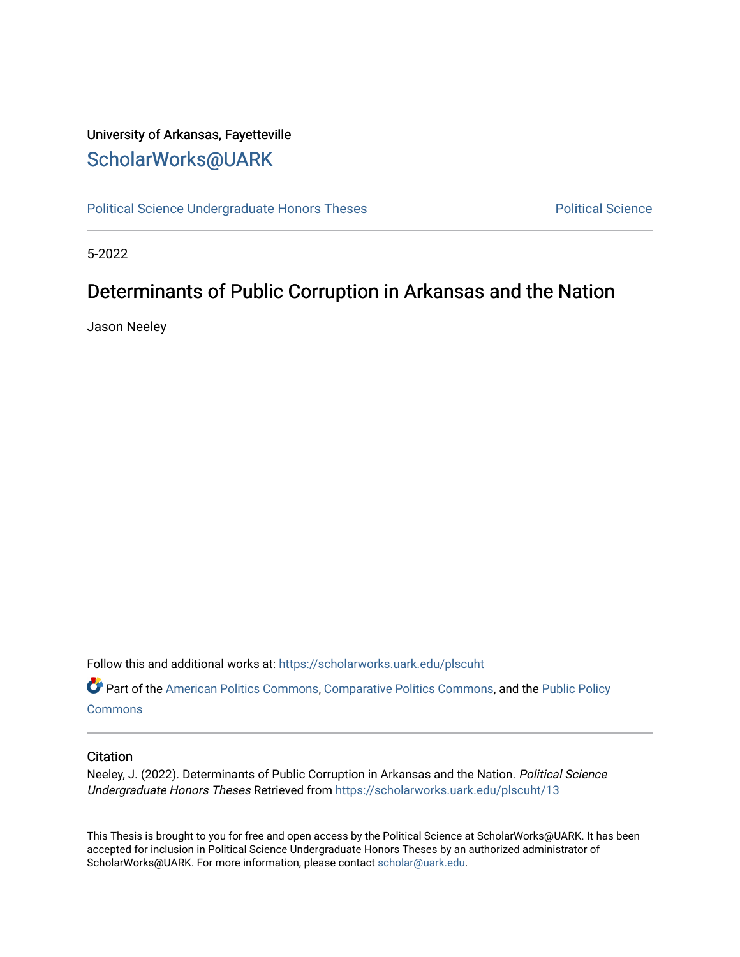# University of Arkansas, Fayetteville [ScholarWorks@UARK](https://scholarworks.uark.edu/)

[Political Science Undergraduate Honors Theses](https://scholarworks.uark.edu/plscuht) **Political Science** Political Science

5-2022

# Determinants of Public Corruption in Arkansas and the Nation

Jason Neeley

Follow this and additional works at: [https://scholarworks.uark.edu/plscuht](https://scholarworks.uark.edu/plscuht?utm_source=scholarworks.uark.edu%2Fplscuht%2F13&utm_medium=PDF&utm_campaign=PDFCoverPages) 

Part of the [American Politics Commons,](http://network.bepress.com/hgg/discipline/387?utm_source=scholarworks.uark.edu%2Fplscuht%2F13&utm_medium=PDF&utm_campaign=PDFCoverPages) [Comparative Politics Commons,](http://network.bepress.com/hgg/discipline/388?utm_source=scholarworks.uark.edu%2Fplscuht%2F13&utm_medium=PDF&utm_campaign=PDFCoverPages) and the [Public Policy](http://network.bepress.com/hgg/discipline/400?utm_source=scholarworks.uark.edu%2Fplscuht%2F13&utm_medium=PDF&utm_campaign=PDFCoverPages) **[Commons](http://network.bepress.com/hgg/discipline/400?utm_source=scholarworks.uark.edu%2Fplscuht%2F13&utm_medium=PDF&utm_campaign=PDFCoverPages)** 

# **Citation**

Neeley, J. (2022). Determinants of Public Corruption in Arkansas and the Nation. Political Science Undergraduate Honors Theses Retrieved from [https://scholarworks.uark.edu/plscuht/13](https://scholarworks.uark.edu/plscuht/13?utm_source=scholarworks.uark.edu%2Fplscuht%2F13&utm_medium=PDF&utm_campaign=PDFCoverPages)

This Thesis is brought to you for free and open access by the Political Science at ScholarWorks@UARK. It has been accepted for inclusion in Political Science Undergraduate Honors Theses by an authorized administrator of ScholarWorks@UARK. For more information, please contact [scholar@uark.edu](mailto:scholar@uark.edu).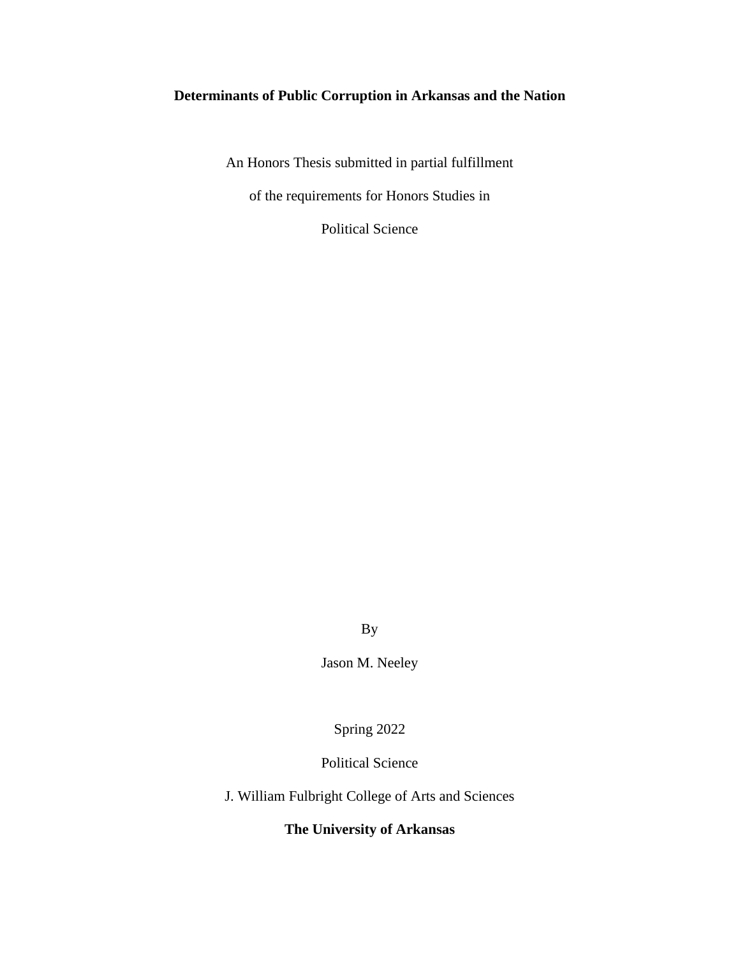# **Determinants of Public Corruption in Arkansas and the Nation**

An Honors Thesis submitted in partial fulfillment

of the requirements for Honors Studies in

Political Science

By

Jason M. Neeley

Spring 2022

Political Science

J. William Fulbright College of Arts and Sciences

**The University of Arkansas**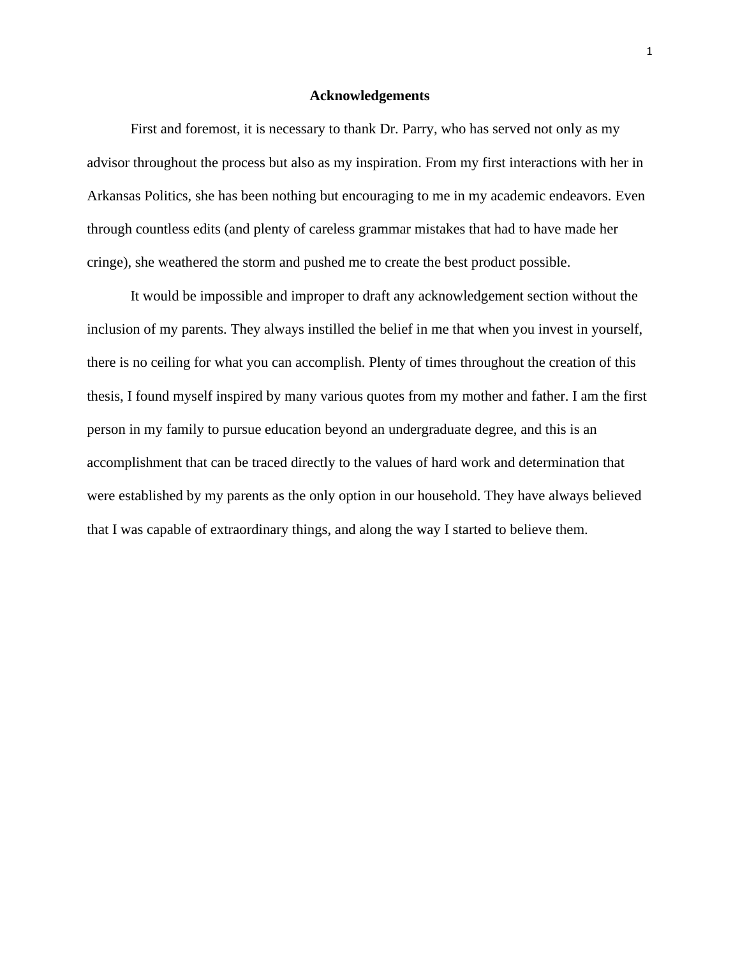#### **Acknowledgements**

First and foremost, it is necessary to thank Dr. Parry, who has served not only as my advisor throughout the process but also as my inspiration. From my first interactions with her in Arkansas Politics, she has been nothing but encouraging to me in my academic endeavors. Even through countless edits (and plenty of careless grammar mistakes that had to have made her cringe), she weathered the storm and pushed me to create the best product possible.

It would be impossible and improper to draft any acknowledgement section without the inclusion of my parents. They always instilled the belief in me that when you invest in yourself, there is no ceiling for what you can accomplish. Plenty of times throughout the creation of this thesis, I found myself inspired by many various quotes from my mother and father. I am the first person in my family to pursue education beyond an undergraduate degree, and this is an accomplishment that can be traced directly to the values of hard work and determination that were established by my parents as the only option in our household. They have always believed that I was capable of extraordinary things, and along the way I started to believe them.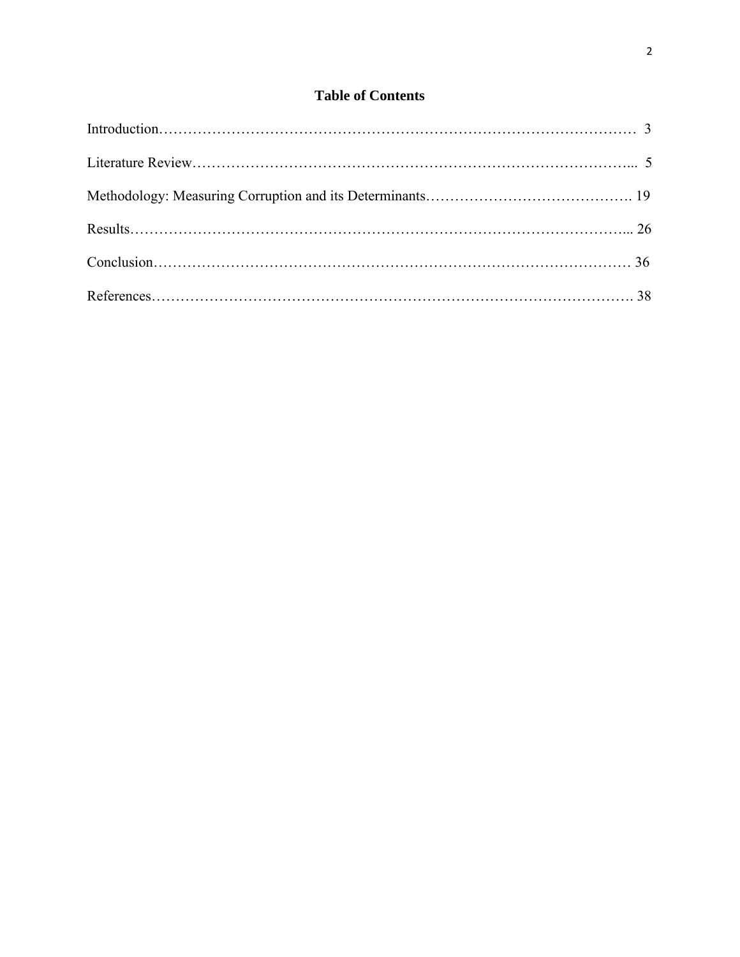# **Table of Contents**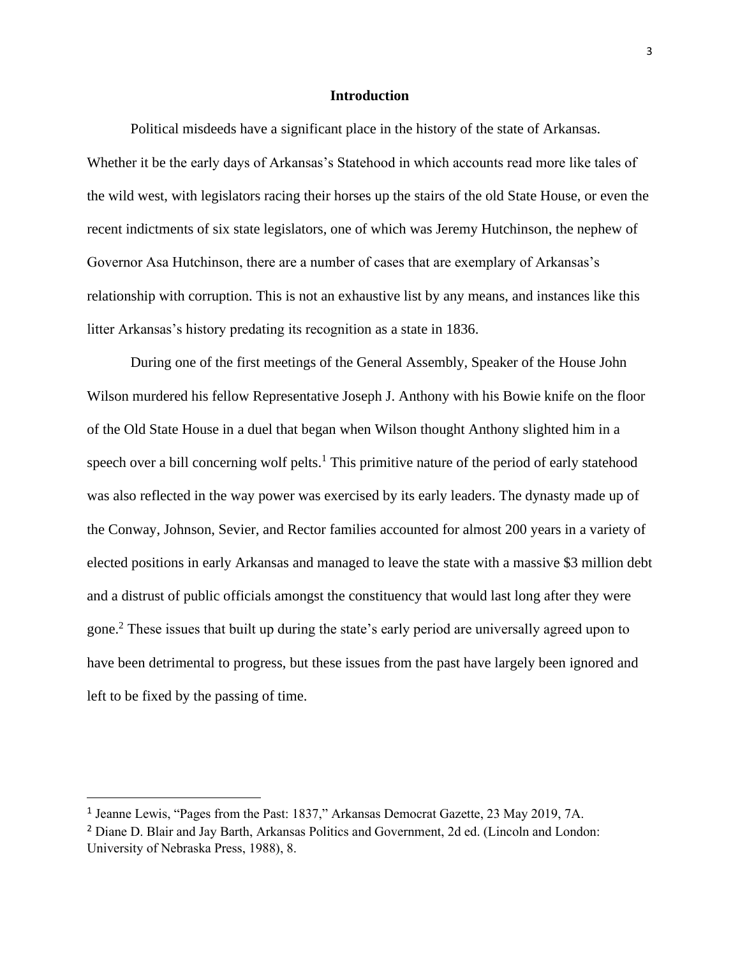### **Introduction**

Political misdeeds have a significant place in the history of the state of Arkansas. Whether it be the early days of Arkansas's Statehood in which accounts read more like tales of the wild west, with legislators racing their horses up the stairs of the old State House, or even the recent indictments of six state legislators, one of which was Jeremy Hutchinson, the nephew of Governor Asa Hutchinson, there are a number of cases that are exemplary of Arkansas's relationship with corruption. This is not an exhaustive list by any means, and instances like this litter Arkansas's history predating its recognition as a state in 1836.

During one of the first meetings of the General Assembly, Speaker of the House John Wilson murdered his fellow Representative Joseph J. Anthony with his Bowie knife on the floor of the Old State House in a duel that began when Wilson thought Anthony slighted him in a speech over a bill concerning wolf pelts.<sup>1</sup> This primitive nature of the period of early statehood was also reflected in the way power was exercised by its early leaders. The dynasty made up of the Conway, Johnson, Sevier, and Rector families accounted for almost 200 years in a variety of elected positions in early Arkansas and managed to leave the state with a massive \$3 million debt and a distrust of public officials amongst the constituency that would last long after they were gone.<sup>2</sup> These issues that built up during the state's early period are universally agreed upon to have been detrimental to progress, but these issues from the past have largely been ignored and left to be fixed by the passing of time.

<sup>&</sup>lt;sup>1</sup> Jeanne Lewis, "Pages from the Past: 1837," Arkansas Democrat Gazette, 23 May 2019, 7A.

<sup>2</sup> Diane D. Blair and Jay Barth, Arkansas Politics and Government, 2d ed. (Lincoln and London: University of Nebraska Press, 1988), 8.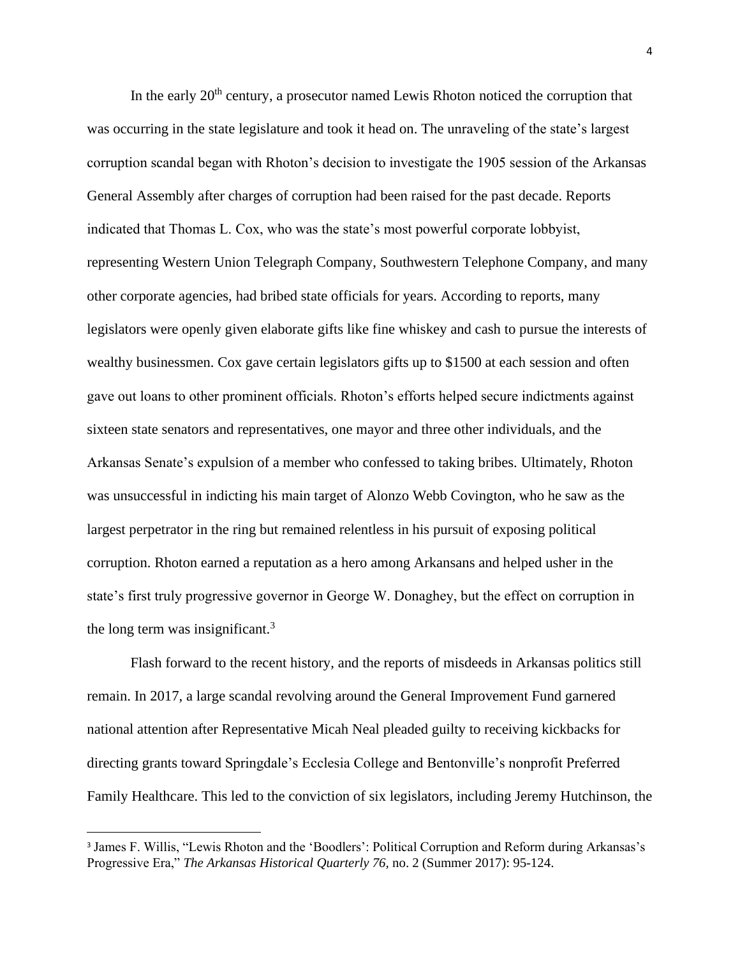In the early  $20<sup>th</sup>$  century, a prosecutor named Lewis Rhoton noticed the corruption that was occurring in the state legislature and took it head on. The unraveling of the state's largest corruption scandal began with Rhoton's decision to investigate the 1905 session of the Arkansas General Assembly after charges of corruption had been raised for the past decade. Reports indicated that Thomas L. Cox, who was the state's most powerful corporate lobbyist, representing Western Union Telegraph Company, Southwestern Telephone Company, and many other corporate agencies, had bribed state officials for years. According to reports, many legislators were openly given elaborate gifts like fine whiskey and cash to pursue the interests of wealthy businessmen. Cox gave certain legislators gifts up to \$1500 at each session and often gave out loans to other prominent officials. Rhoton's efforts helped secure indictments against sixteen state senators and representatives, one mayor and three other individuals, and the Arkansas Senate's expulsion of a member who confessed to taking bribes. Ultimately, Rhoton was unsuccessful in indicting his main target of Alonzo Webb Covington, who he saw as the largest perpetrator in the ring but remained relentless in his pursuit of exposing political corruption. Rhoton earned a reputation as a hero among Arkansans and helped usher in the state's first truly progressive governor in George W. Donaghey, but the effect on corruption in the long term was insignificant.<sup>3</sup>

Flash forward to the recent history, and the reports of misdeeds in Arkansas politics still remain. In 2017, a large scandal revolving around the General Improvement Fund garnered national attention after Representative Micah Neal pleaded guilty to receiving kickbacks for directing grants toward Springdale's Ecclesia College and Bentonville's nonprofit Preferred Family Healthcare. This led to the conviction of six legislators, including Jeremy Hutchinson, the

<sup>&</sup>lt;sup>3</sup> James F. Willis, "Lewis Rhoton and the 'Boodlers': Political Corruption and Reform during Arkansas's Progressive Era," *The Arkansas Historical Quarterly 76,* no. 2 (Summer 2017): 95-124.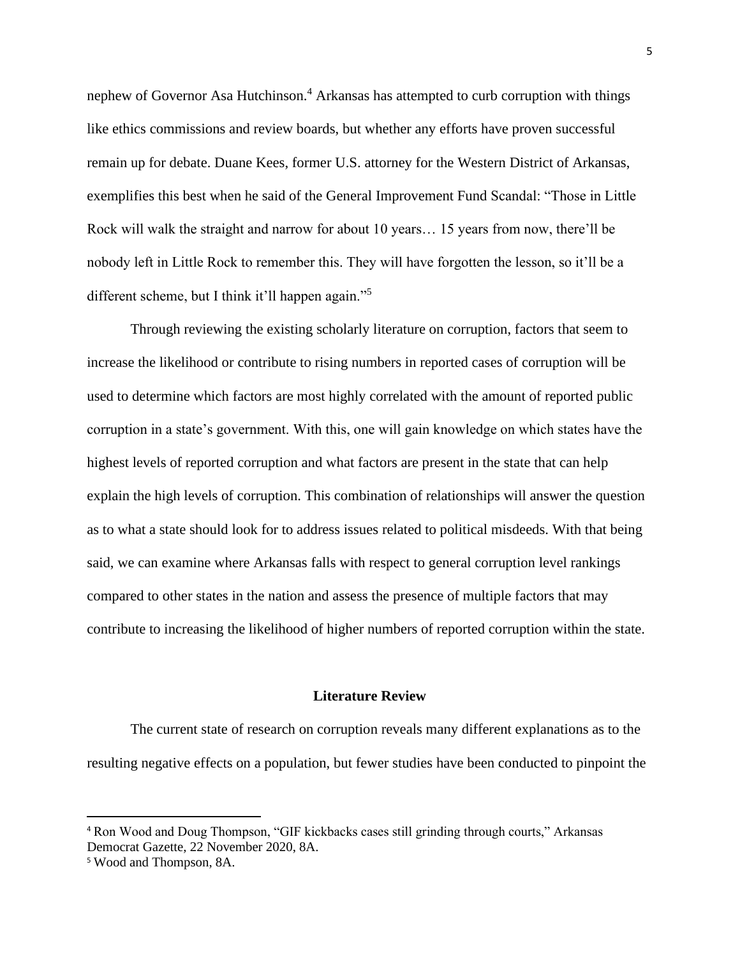nephew of Governor Asa Hutchinson.<sup>4</sup> Arkansas has attempted to curb corruption with things like ethics commissions and review boards, but whether any efforts have proven successful remain up for debate. Duane Kees, former U.S. attorney for the Western District of Arkansas, exemplifies this best when he said of the General Improvement Fund Scandal: "Those in Little Rock will walk the straight and narrow for about 10 years… 15 years from now, there'll be nobody left in Little Rock to remember this. They will have forgotten the lesson, so it'll be a different scheme, but I think it'll happen again."<sup>5</sup>

Through reviewing the existing scholarly literature on corruption, factors that seem to increase the likelihood or contribute to rising numbers in reported cases of corruption will be used to determine which factors are most highly correlated with the amount of reported public corruption in a state's government. With this, one will gain knowledge on which states have the highest levels of reported corruption and what factors are present in the state that can help explain the high levels of corruption. This combination of relationships will answer the question as to what a state should look for to address issues related to political misdeeds. With that being said, we can examine where Arkansas falls with respect to general corruption level rankings compared to other states in the nation and assess the presence of multiple factors that may contribute to increasing the likelihood of higher numbers of reported corruption within the state.

#### **Literature Review**

The current state of research on corruption reveals many different explanations as to the resulting negative effects on a population, but fewer studies have been conducted to pinpoint the

<sup>4</sup> Ron Wood and Doug Thompson, "GIF kickbacks cases still grinding through courts," Arkansas Democrat Gazette, 22 November 2020, 8A.

<sup>5</sup> Wood and Thompson, 8A.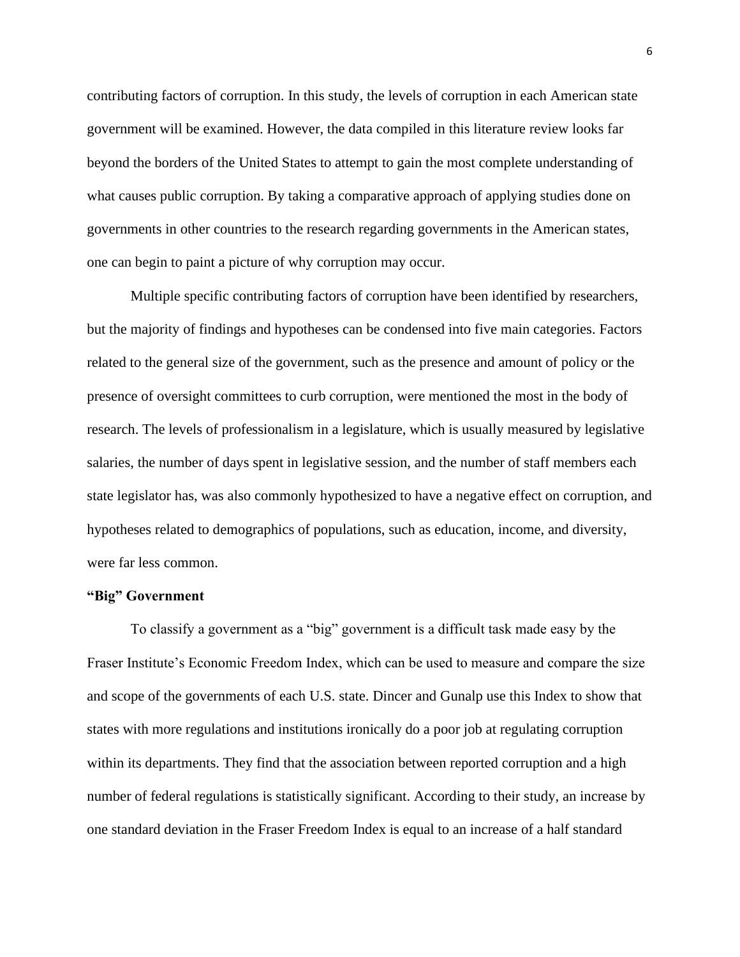contributing factors of corruption. In this study, the levels of corruption in each American state government will be examined. However, the data compiled in this literature review looks far beyond the borders of the United States to attempt to gain the most complete understanding of what causes public corruption. By taking a comparative approach of applying studies done on governments in other countries to the research regarding governments in the American states, one can begin to paint a picture of why corruption may occur.

Multiple specific contributing factors of corruption have been identified by researchers, but the majority of findings and hypotheses can be condensed into five main categories. Factors related to the general size of the government, such as the presence and amount of policy or the presence of oversight committees to curb corruption, were mentioned the most in the body of research. The levels of professionalism in a legislature, which is usually measured by legislative salaries, the number of days spent in legislative session, and the number of staff members each state legislator has, was also commonly hypothesized to have a negative effect on corruption, and hypotheses related to demographics of populations, such as education, income, and diversity, were far less common.

# **"Big" Government**

To classify a government as a "big" government is a difficult task made easy by the Fraser Institute's Economic Freedom Index, which can be used to measure and compare the size and scope of the governments of each U.S. state. Dincer and Gunalp use this Index to show that states with more regulations and institutions ironically do a poor job at regulating corruption within its departments. They find that the association between reported corruption and a high number of federal regulations is statistically significant. According to their study, an increase by one standard deviation in the Fraser Freedom Index is equal to an increase of a half standard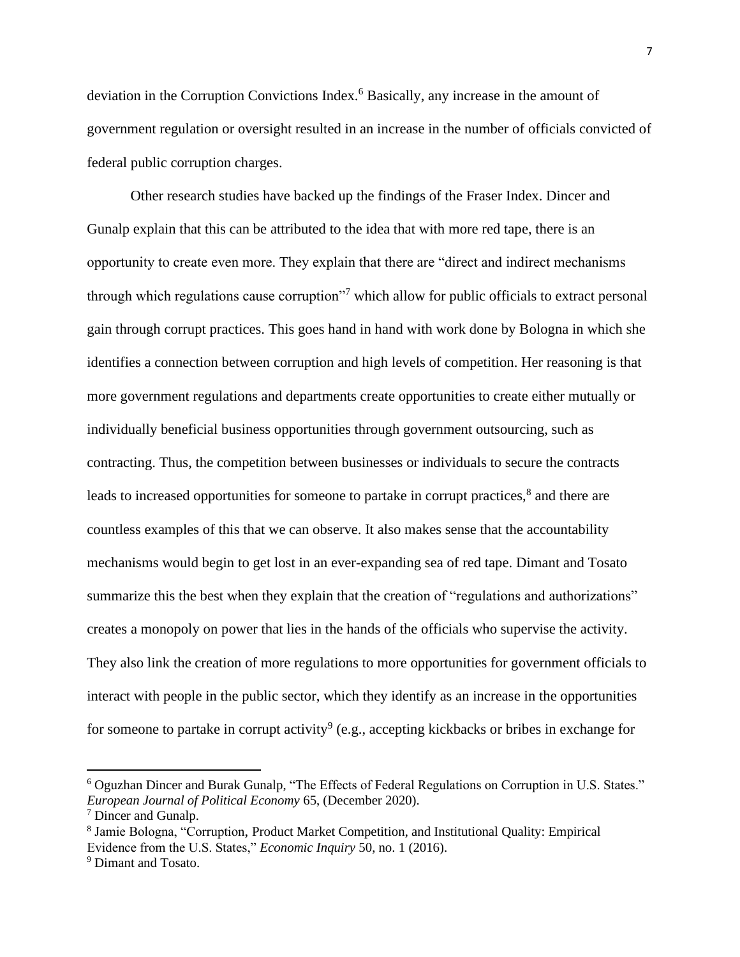deviation in the Corruption Convictions Index.<sup>6</sup> Basically, any increase in the amount of government regulation or oversight resulted in an increase in the number of officials convicted of federal public corruption charges.

Other research studies have backed up the findings of the Fraser Index. Dincer and Gunalp explain that this can be attributed to the idea that with more red tape, there is an opportunity to create even more. They explain that there are "direct and indirect mechanisms through which regulations cause corruption"<sup>7</sup> which allow for public officials to extract personal gain through corrupt practices. This goes hand in hand with work done by Bologna in which she identifies a connection between corruption and high levels of competition. Her reasoning is that more government regulations and departments create opportunities to create either mutually or individually beneficial business opportunities through government outsourcing, such as contracting. Thus, the competition between businesses or individuals to secure the contracts leads to increased opportunities for someone to partake in corrupt practices,<sup>8</sup> and there are countless examples of this that we can observe. It also makes sense that the accountability mechanisms would begin to get lost in an ever-expanding sea of red tape. Dimant and Tosato summarize this the best when they explain that the creation of "regulations and authorizations" creates a monopoly on power that lies in the hands of the officials who supervise the activity. They also link the creation of more regulations to more opportunities for government officials to interact with people in the public sector, which they identify as an increase in the opportunities for someone to partake in corrupt activity<sup>9</sup> (e.g., accepting kickbacks or bribes in exchange for

<sup>6</sup> Oguzhan Dincer and Burak Gunalp, "The Effects of Federal Regulations on Corruption in U.S. States." *European Journal of Political Economy* 65, (December 2020).

<sup>7</sup> Dincer and Gunalp.

<sup>&</sup>lt;sup>8</sup> Jamie Bologna, "Corruption, Product Market Competition, and Institutional Quality: Empirical Evidence from the U.S. States," *Economic Inquiry* 50, no. 1 (2016).

<sup>9</sup> Dimant and Tosato.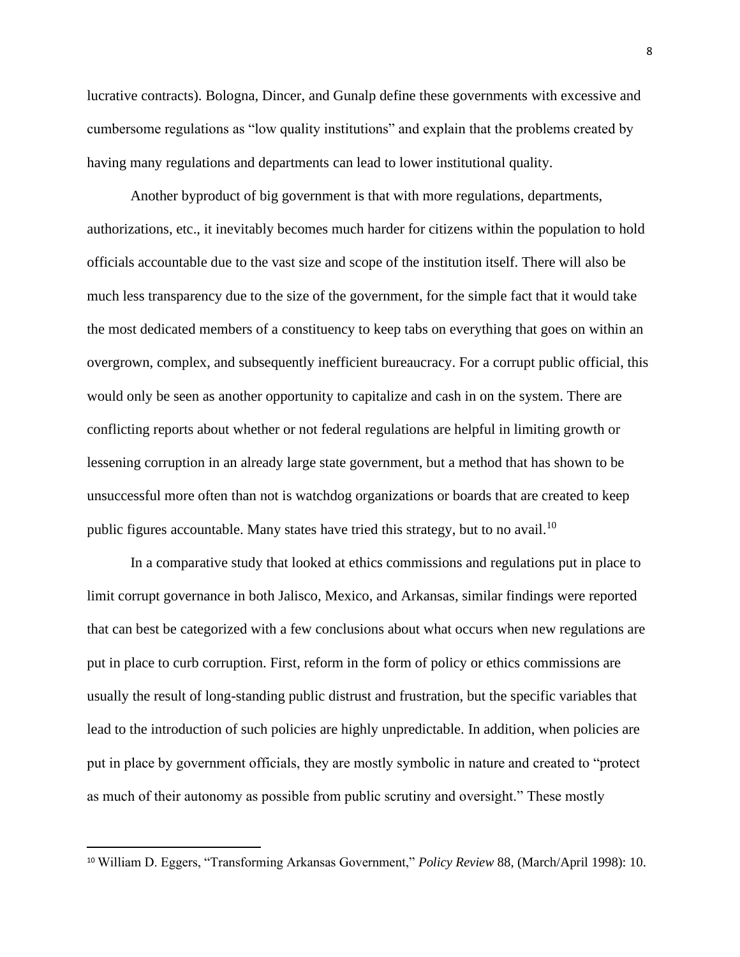lucrative contracts). Bologna, Dincer, and Gunalp define these governments with excessive and cumbersome regulations as "low quality institutions" and explain that the problems created by having many regulations and departments can lead to lower institutional quality.

Another byproduct of big government is that with more regulations, departments, authorizations, etc., it inevitably becomes much harder for citizens within the population to hold officials accountable due to the vast size and scope of the institution itself. There will also be much less transparency due to the size of the government, for the simple fact that it would take the most dedicated members of a constituency to keep tabs on everything that goes on within an overgrown, complex, and subsequently inefficient bureaucracy. For a corrupt public official, this would only be seen as another opportunity to capitalize and cash in on the system. There are conflicting reports about whether or not federal regulations are helpful in limiting growth or lessening corruption in an already large state government, but a method that has shown to be unsuccessful more often than not is watchdog organizations or boards that are created to keep public figures accountable. Many states have tried this strategy, but to no avail.<sup>10</sup>

In a comparative study that looked at ethics commissions and regulations put in place to limit corrupt governance in both Jalisco, Mexico, and Arkansas, similar findings were reported that can best be categorized with a few conclusions about what occurs when new regulations are put in place to curb corruption. First, reform in the form of policy or ethics commissions are usually the result of long-standing public distrust and frustration, but the specific variables that lead to the introduction of such policies are highly unpredictable. In addition, when policies are put in place by government officials, they are mostly symbolic in nature and created to "protect as much of their autonomy as possible from public scrutiny and oversight." These mostly

<sup>10</sup> William D. Eggers, "Transforming Arkansas Government," *Policy Review* 88, (March/April 1998): 10.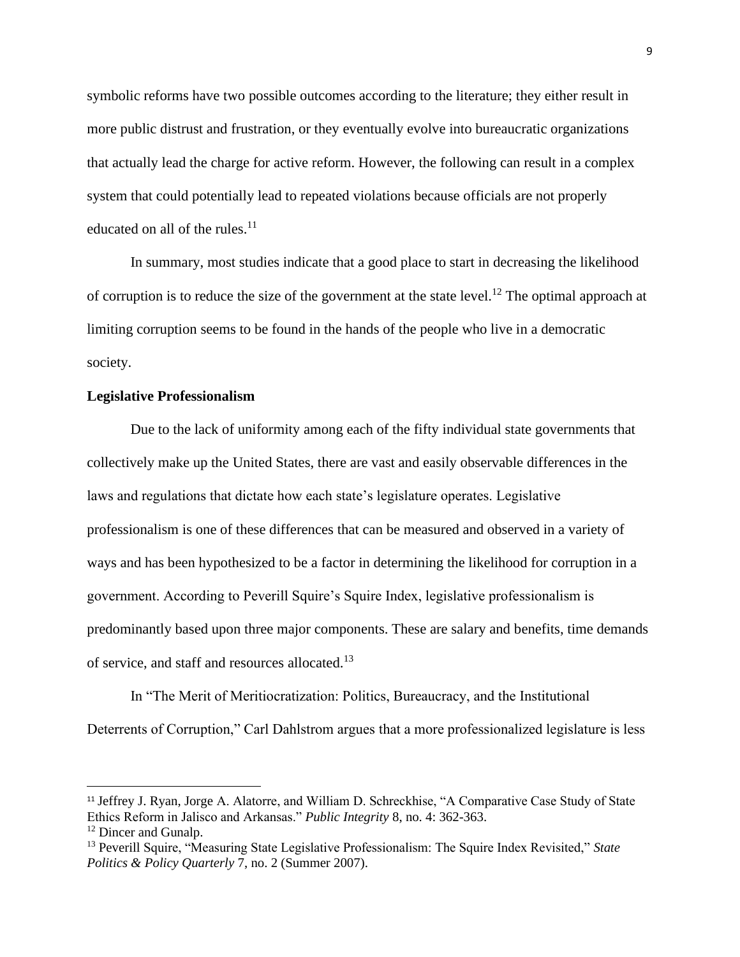symbolic reforms have two possible outcomes according to the literature; they either result in more public distrust and frustration, or they eventually evolve into bureaucratic organizations that actually lead the charge for active reform. However, the following can result in a complex system that could potentially lead to repeated violations because officials are not properly educated on all of the rules.<sup>11</sup>

In summary, most studies indicate that a good place to start in decreasing the likelihood of corruption is to reduce the size of the government at the state level.<sup>12</sup> The optimal approach at limiting corruption seems to be found in the hands of the people who live in a democratic society.

# **Legislative Professionalism**

Due to the lack of uniformity among each of the fifty individual state governments that collectively make up the United States, there are vast and easily observable differences in the laws and regulations that dictate how each state's legislature operates. Legislative professionalism is one of these differences that can be measured and observed in a variety of ways and has been hypothesized to be a factor in determining the likelihood for corruption in a government. According to Peverill Squire's Squire Index, legislative professionalism is predominantly based upon three major components. These are salary and benefits, time demands of service, and staff and resources allocated.<sup>13</sup>

In "The Merit of Meritiocratization: Politics, Bureaucracy, and the Institutional Deterrents of Corruption," Carl Dahlstrom argues that a more professionalized legislature is less

<sup>11</sup> Jeffrey J. Ryan, Jorge A. Alatorre, and William D. Schreckhise, "A Comparative Case Study of State Ethics Reform in Jalisco and Arkansas." *Public Integrity* 8, no. 4: 362-363.

<sup>&</sup>lt;sup>12</sup> Dincer and Gunalp.

<sup>13</sup> Peverill Squire, "Measuring State Legislative Professionalism: The Squire Index Revisited," *State Politics & Policy Quarterly* 7, no. 2 (Summer 2007).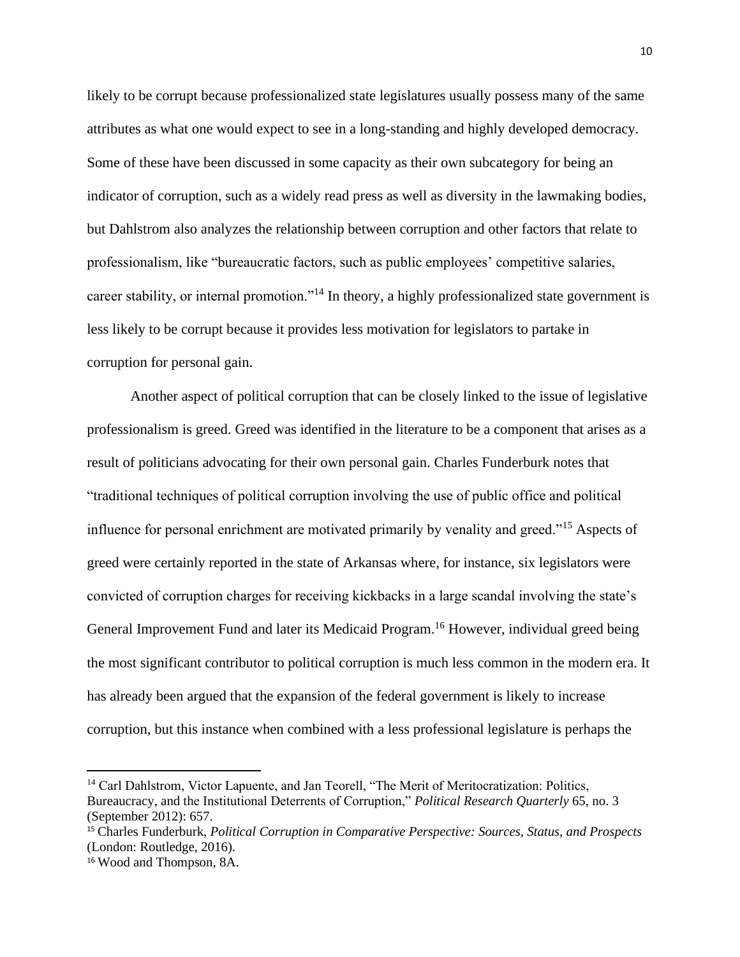likely to be corrupt because professionalized state legislatures usually possess many of the same attributes as what one would expect to see in a long-standing and highly developed democracy. Some of these have been discussed in some capacity as their own subcategory for being an indicator of corruption, such as a widely read press as well as diversity in the lawmaking bodies, but Dahlstrom also analyzes the relationship between corruption and other factors that relate to professionalism, like "bureaucratic factors, such as public employees' competitive salaries, career stability, or internal promotion."<sup>14</sup> In theory, a highly professionalized state government is less likely to be corrupt because it provides less motivation for legislators to partake in corruption for personal gain.

Another aspect of political corruption that can be closely linked to the issue of legislative professionalism is greed. Greed was identified in the literature to be a component that arises as a result of politicians advocating for their own personal gain. Charles Funderburk notes that "traditional techniques of political corruption involving the use of public office and political influence for personal enrichment are motivated primarily by venality and greed."<sup>15</sup> Aspects of greed were certainly reported in the state of Arkansas where, for instance, six legislators were convicted of corruption charges for receiving kickbacks in a large scandal involving the state's General Improvement Fund and later its Medicaid Program.<sup>16</sup> However, individual greed being the most significant contributor to political corruption is much less common in the modern era. It has already been argued that the expansion of the federal government is likely to increase corruption, but this instance when combined with a less professional legislature is perhaps the

<sup>&</sup>lt;sup>14</sup> Carl Dahlstrom, Victor Lapuente, and Jan Teorell, "The Merit of Meritocratization: Politics, Bureaucracy, and the Institutional Deterrents of Corruption," *Political Research Quarterly* 65, no. 3 (September 2012): 657.

<sup>15</sup> Charles Funderburk, *Political Corruption in Comparative Perspective: Sources, Status, and Prospects*  (London: Routledge, 2016).

<sup>16</sup> Wood and Thompson, 8A.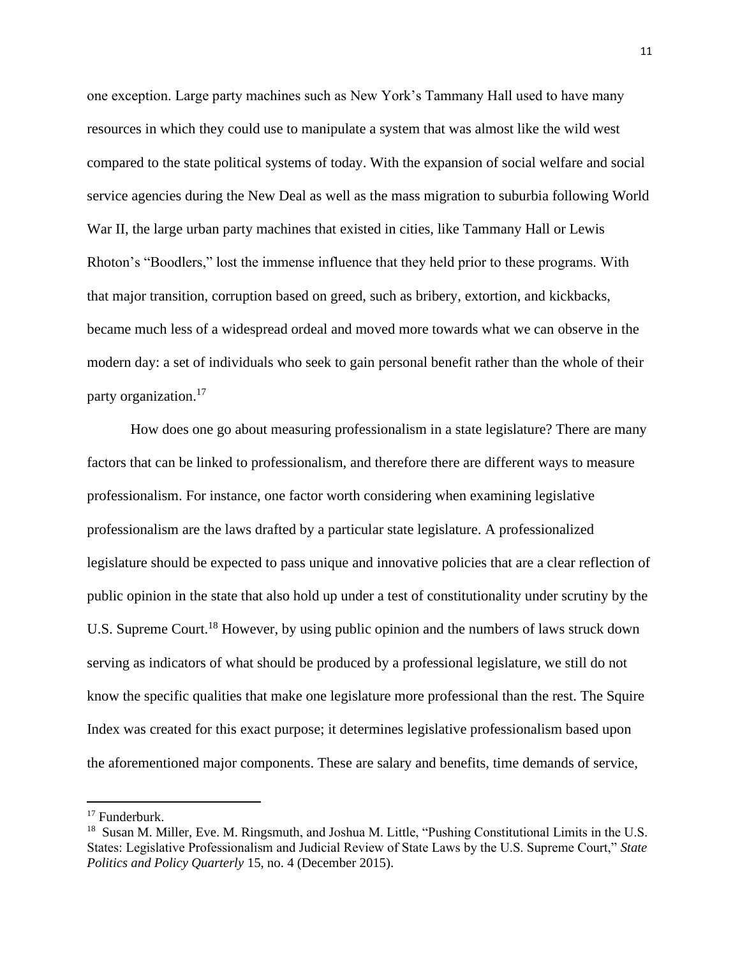one exception. Large party machines such as New York's Tammany Hall used to have many resources in which they could use to manipulate a system that was almost like the wild west compared to the state political systems of today. With the expansion of social welfare and social service agencies during the New Deal as well as the mass migration to suburbia following World War II, the large urban party machines that existed in cities, like Tammany Hall or Lewis Rhoton's "Boodlers," lost the immense influence that they held prior to these programs. With that major transition, corruption based on greed, such as bribery, extortion, and kickbacks, became much less of a widespread ordeal and moved more towards what we can observe in the modern day: a set of individuals who seek to gain personal benefit rather than the whole of their party organization.<sup>17</sup>

How does one go about measuring professionalism in a state legislature? There are many factors that can be linked to professionalism, and therefore there are different ways to measure professionalism. For instance, one factor worth considering when examining legislative professionalism are the laws drafted by a particular state legislature. A professionalized legislature should be expected to pass unique and innovative policies that are a clear reflection of public opinion in the state that also hold up under a test of constitutionality under scrutiny by the U.S. Supreme Court.<sup>18</sup> However, by using public opinion and the numbers of laws struck down serving as indicators of what should be produced by a professional legislature, we still do not know the specific qualities that make one legislature more professional than the rest. The Squire Index was created for this exact purpose; it determines legislative professionalism based upon the aforementioned major components. These are salary and benefits, time demands of service,

<sup>17</sup> Funderburk.

<sup>&</sup>lt;sup>18</sup> Susan M. Miller, Eve. M. Ringsmuth, and Joshua M. Little, "Pushing Constitutional Limits in the U.S. States: Legislative Professionalism and Judicial Review of State Laws by the U.S. Supreme Court," *State Politics and Policy Quarterly* 15, no. 4 (December 2015).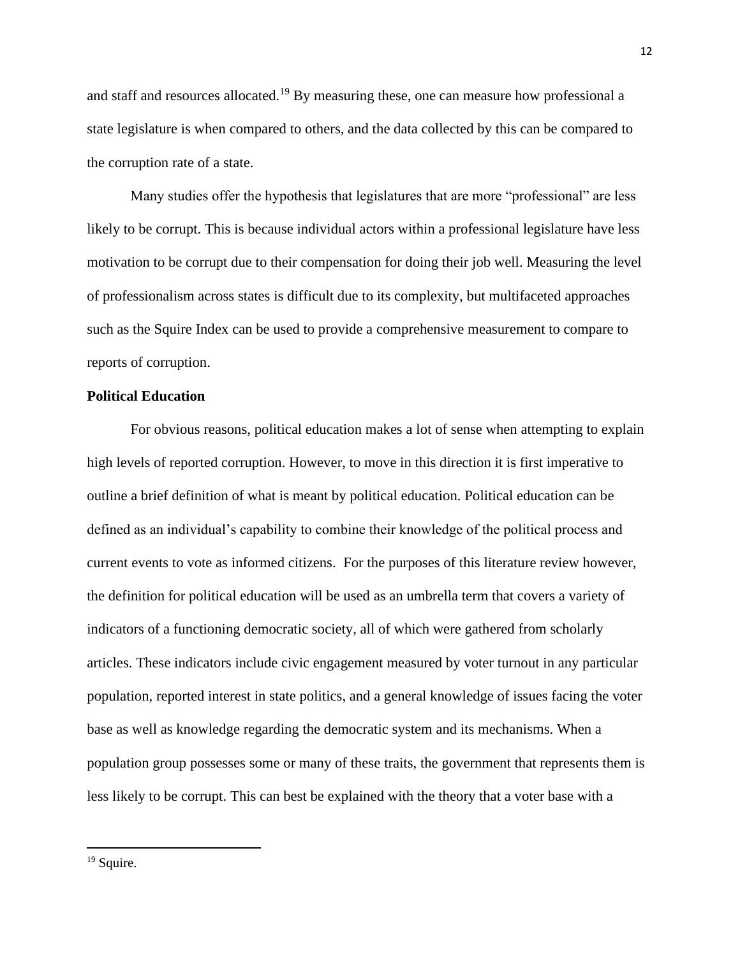and staff and resources allocated.<sup>19</sup> By measuring these, one can measure how professional a state legislature is when compared to others, and the data collected by this can be compared to the corruption rate of a state.

Many studies offer the hypothesis that legislatures that are more "professional" are less likely to be corrupt. This is because individual actors within a professional legislature have less motivation to be corrupt due to their compensation for doing their job well. Measuring the level of professionalism across states is difficult due to its complexity, but multifaceted approaches such as the Squire Index can be used to provide a comprehensive measurement to compare to reports of corruption.

# **Political Education**

For obvious reasons, political education makes a lot of sense when attempting to explain high levels of reported corruption. However, to move in this direction it is first imperative to outline a brief definition of what is meant by political education. Political education can be defined as an individual's capability to combine their knowledge of the political process and current events to vote as informed citizens. For the purposes of this literature review however, the definition for political education will be used as an umbrella term that covers a variety of indicators of a functioning democratic society, all of which were gathered from scholarly articles. These indicators include civic engagement measured by voter turnout in any particular population, reported interest in state politics, and a general knowledge of issues facing the voter base as well as knowledge regarding the democratic system and its mechanisms. When a population group possesses some or many of these traits, the government that represents them is less likely to be corrupt. This can best be explained with the theory that a voter base with a

<sup>&</sup>lt;sup>19</sup> Squire.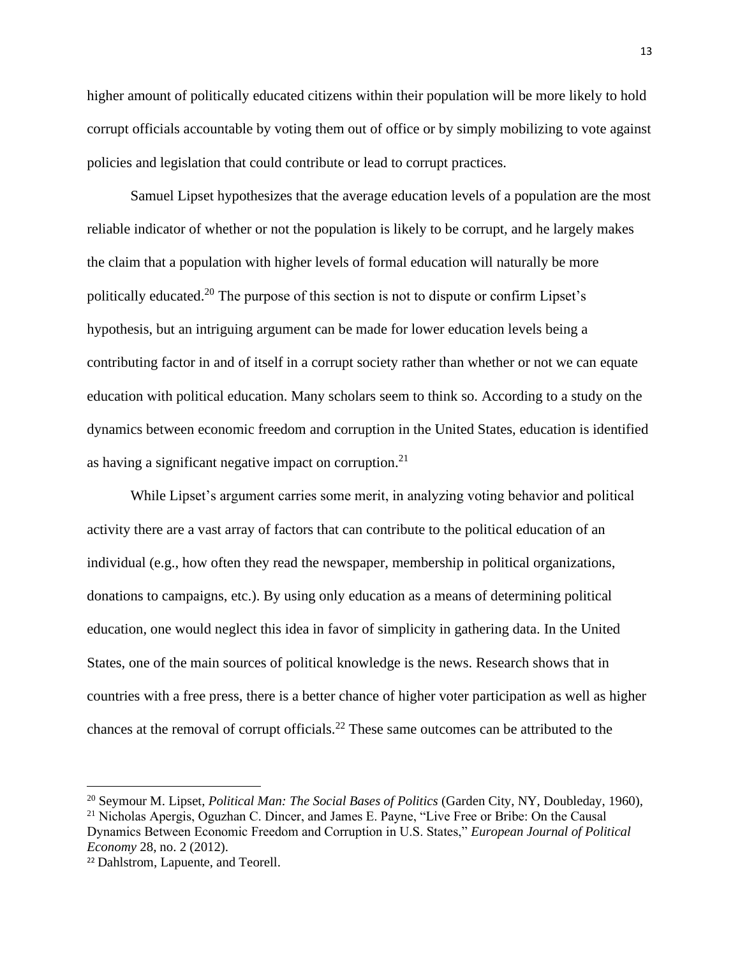higher amount of politically educated citizens within their population will be more likely to hold corrupt officials accountable by voting them out of office or by simply mobilizing to vote against policies and legislation that could contribute or lead to corrupt practices.

Samuel Lipset hypothesizes that the average education levels of a population are the most reliable indicator of whether or not the population is likely to be corrupt, and he largely makes the claim that a population with higher levels of formal education will naturally be more politically educated.<sup>20</sup> The purpose of this section is not to dispute or confirm Lipset's hypothesis, but an intriguing argument can be made for lower education levels being a contributing factor in and of itself in a corrupt society rather than whether or not we can equate education with political education. Many scholars seem to think so. According to a study on the dynamics between economic freedom and corruption in the United States, education is identified as having a significant negative impact on corruption. $21$ 

While Lipset's argument carries some merit, in analyzing voting behavior and political activity there are a vast array of factors that can contribute to the political education of an individual (e.g., how often they read the newspaper, membership in political organizations, donations to campaigns, etc.). By using only education as a means of determining political education, one would neglect this idea in favor of simplicity in gathering data. In the United States, one of the main sources of political knowledge is the news. Research shows that in countries with a free press, there is a better chance of higher voter participation as well as higher chances at the removal of corrupt officials.<sup>22</sup> These same outcomes can be attributed to the

<sup>20</sup> Seymour M. Lipset, *Political Man: The Social Bases of Politics* (Garden City, NY, Doubleday, 1960),

<sup>&</sup>lt;sup>21</sup> Nicholas Apergis, Oguzhan C. Dincer, and James E. Payne, "Live Free or Bribe: On the Causal

Dynamics Between Economic Freedom and Corruption in U.S. States," *European Journal of Political Economy* 28, no. 2 (2012).

<sup>22</sup> Dahlstrom, Lapuente, and Teorell.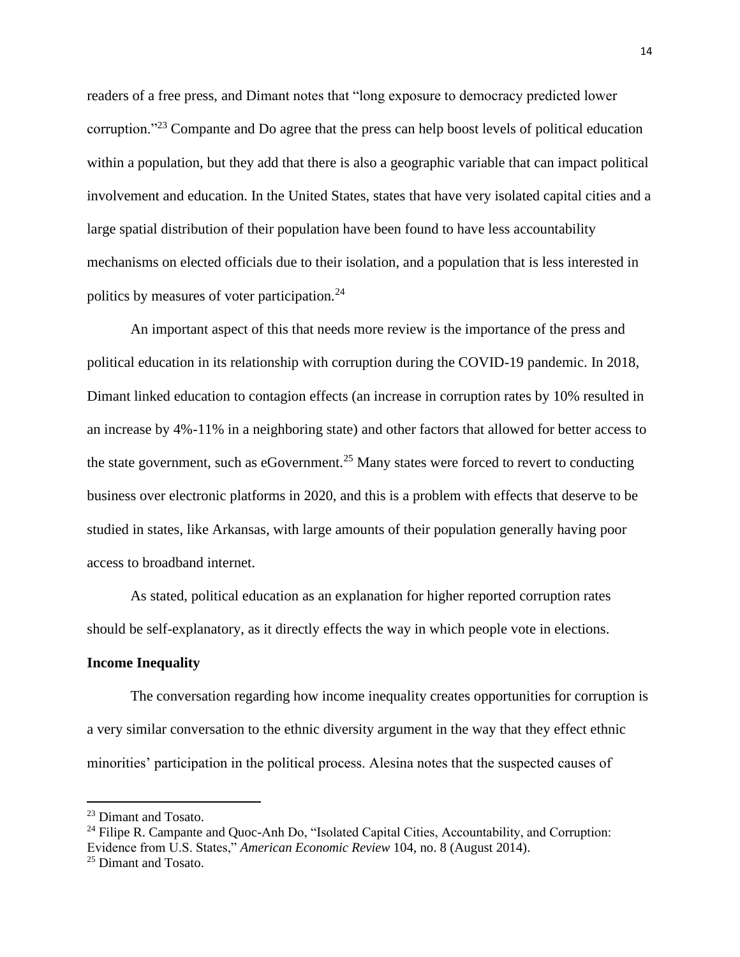readers of a free press, and Dimant notes that "long exposure to democracy predicted lower corruption."<sup>23</sup> Compante and Do agree that the press can help boost levels of political education within a population, but they add that there is also a geographic variable that can impact political involvement and education. In the United States, states that have very isolated capital cities and a large spatial distribution of their population have been found to have less accountability mechanisms on elected officials due to their isolation, and a population that is less interested in politics by measures of voter participation.<sup>24</sup>

An important aspect of this that needs more review is the importance of the press and political education in its relationship with corruption during the COVID-19 pandemic. In 2018, Dimant linked education to contagion effects (an increase in corruption rates by 10% resulted in an increase by 4%-11% in a neighboring state) and other factors that allowed for better access to the state government, such as eGovernment.<sup>25</sup> Many states were forced to revert to conducting business over electronic platforms in 2020, and this is a problem with effects that deserve to be studied in states, like Arkansas, with large amounts of their population generally having poor access to broadband internet.

As stated, political education as an explanation for higher reported corruption rates should be self-explanatory, as it directly effects the way in which people vote in elections.

#### **Income Inequality**

The conversation regarding how income inequality creates opportunities for corruption is a very similar conversation to the ethnic diversity argument in the way that they effect ethnic minorities' participation in the political process. Alesina notes that the suspected causes of

<sup>23</sup> Dimant and Tosato.

<sup>&</sup>lt;sup>24</sup> Filipe R. Campante and Quoc-Anh Do, "Isolated Capital Cities, Accountability, and Corruption: Evidence from U.S. States," *American Economic Review* 104, no. 8 (August 2014). <sup>25</sup> Dimant and Tosato.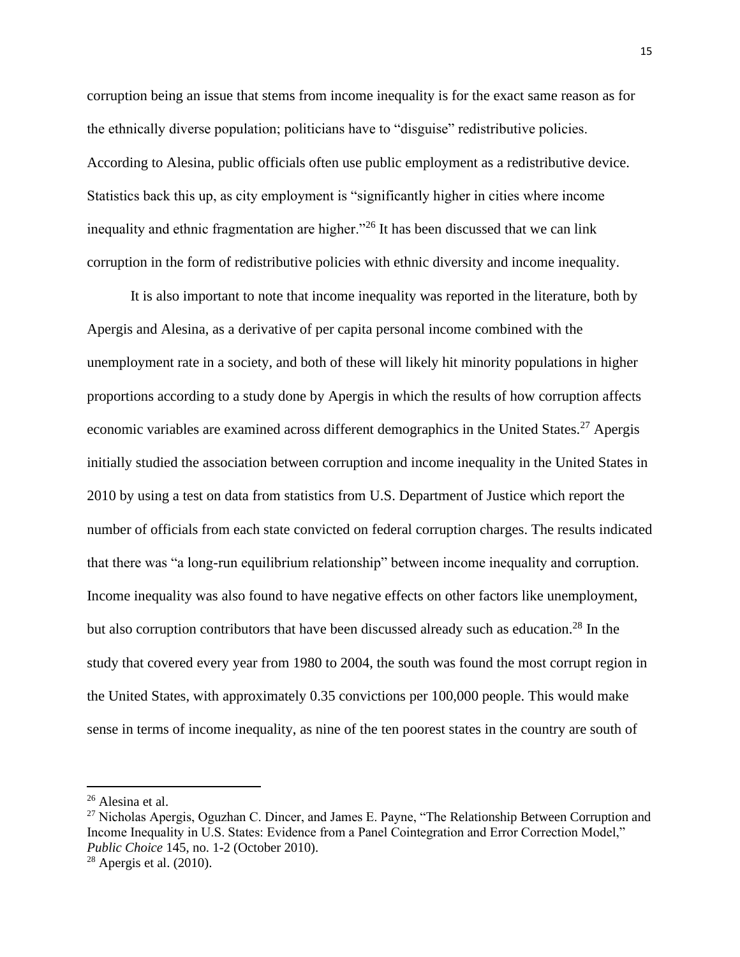corruption being an issue that stems from income inequality is for the exact same reason as for the ethnically diverse population; politicians have to "disguise" redistributive policies. According to Alesina, public officials often use public employment as a redistributive device. Statistics back this up, as city employment is "significantly higher in cities where income inequality and ethnic fragmentation are higher."<sup>26</sup> It has been discussed that we can link corruption in the form of redistributive policies with ethnic diversity and income inequality.

It is also important to note that income inequality was reported in the literature, both by Apergis and Alesina, as a derivative of per capita personal income combined with the unemployment rate in a society, and both of these will likely hit minority populations in higher proportions according to a study done by Apergis in which the results of how corruption affects economic variables are examined across different demographics in the United States.<sup>27</sup> Apergis initially studied the association between corruption and income inequality in the United States in 2010 by using a test on data from statistics from U.S. Department of Justice which report the number of officials from each state convicted on federal corruption charges. The results indicated that there was "a long-run equilibrium relationship" between income inequality and corruption. Income inequality was also found to have negative effects on other factors like unemployment, but also corruption contributors that have been discussed already such as education.<sup>28</sup> In the study that covered every year from 1980 to 2004, the south was found the most corrupt region in the United States, with approximately 0.35 convictions per 100,000 people. This would make sense in terms of income inequality, as nine of the ten poorest states in the country are south of

<sup>26</sup> Alesina et al.

<sup>&</sup>lt;sup>27</sup> Nicholas Apergis, Oguzhan C. Dincer, and James E. Payne, "The Relationship Between Corruption and Income Inequality in U.S. States: Evidence from a Panel Cointegration and Error Correction Model," *Public Choice* 145, no. 1-2 (October 2010).

 $28$  Apergis et al. (2010).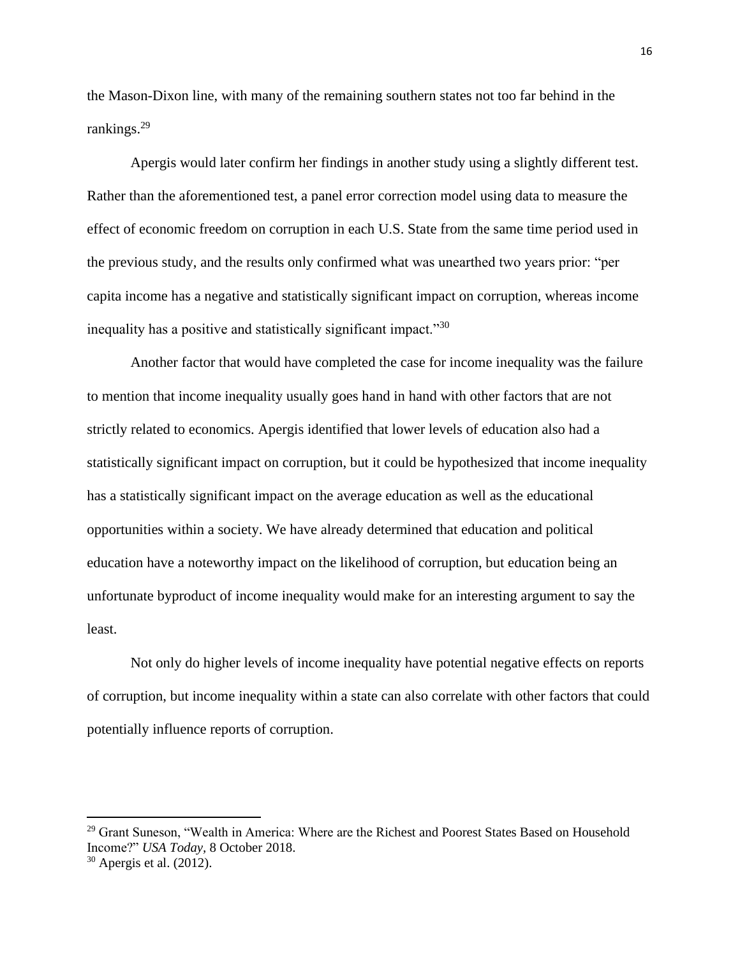the Mason-Dixon line, with many of the remaining southern states not too far behind in the rankings.<sup>29</sup>

Apergis would later confirm her findings in another study using a slightly different test. Rather than the aforementioned test, a panel error correction model using data to measure the effect of economic freedom on corruption in each U.S. State from the same time period used in the previous study, and the results only confirmed what was unearthed two years prior: "per capita income has a negative and statistically significant impact on corruption, whereas income inequality has a positive and statistically significant impact."30

Another factor that would have completed the case for income inequality was the failure to mention that income inequality usually goes hand in hand with other factors that are not strictly related to economics. Apergis identified that lower levels of education also had a statistically significant impact on corruption, but it could be hypothesized that income inequality has a statistically significant impact on the average education as well as the educational opportunities within a society. We have already determined that education and political education have a noteworthy impact on the likelihood of corruption, but education being an unfortunate byproduct of income inequality would make for an interesting argument to say the least.

Not only do higher levels of income inequality have potential negative effects on reports of corruption, but income inequality within a state can also correlate with other factors that could potentially influence reports of corruption.

<sup>&</sup>lt;sup>29</sup> Grant Suneson, "Wealth in America: Where are the Richest and Poorest States Based on Household Income?" *USA Today,* 8 October 2018.

 $30$  Apergis et al. (2012).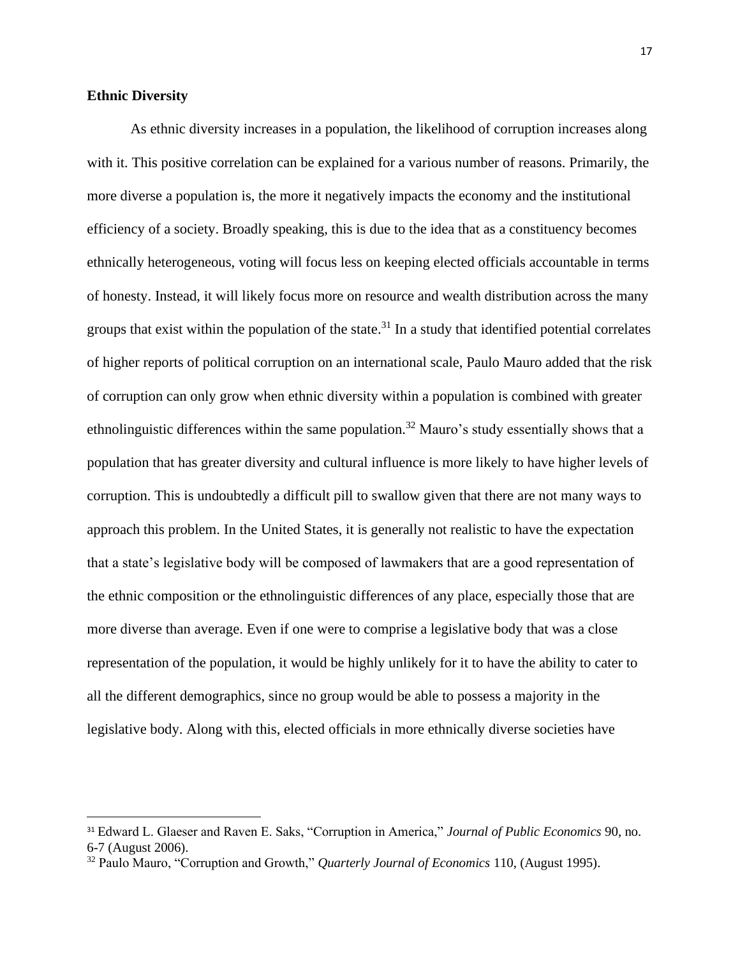# **Ethnic Diversity**

As ethnic diversity increases in a population, the likelihood of corruption increases along with it. This positive correlation can be explained for a various number of reasons. Primarily, the more diverse a population is, the more it negatively impacts the economy and the institutional efficiency of a society. Broadly speaking, this is due to the idea that as a constituency becomes ethnically heterogeneous, voting will focus less on keeping elected officials accountable in terms of honesty. Instead, it will likely focus more on resource and wealth distribution across the many groups that exist within the population of the state.<sup>31</sup> In a study that identified potential correlates of higher reports of political corruption on an international scale, Paulo Mauro added that the risk of corruption can only grow when ethnic diversity within a population is combined with greater ethnolinguistic differences within the same population.<sup>32</sup> Mauro's study essentially shows that a population that has greater diversity and cultural influence is more likely to have higher levels of corruption. This is undoubtedly a difficult pill to swallow given that there are not many ways to approach this problem. In the United States, it is generally not realistic to have the expectation that a state's legislative body will be composed of lawmakers that are a good representation of the ethnic composition or the ethnolinguistic differences of any place, especially those that are more diverse than average. Even if one were to comprise a legislative body that was a close representation of the population, it would be highly unlikely for it to have the ability to cater to all the different demographics, since no group would be able to possess a majority in the legislative body. Along with this, elected officials in more ethnically diverse societies have

<sup>31</sup> Edward L. Glaeser and Raven E. Saks, "Corruption in America," *Journal of Public Economics* 90, no. 6-7 (August 2006).

<sup>32</sup> Paulo Mauro, "Corruption and Growth," *Quarterly Journal of Economics* 110, (August 1995).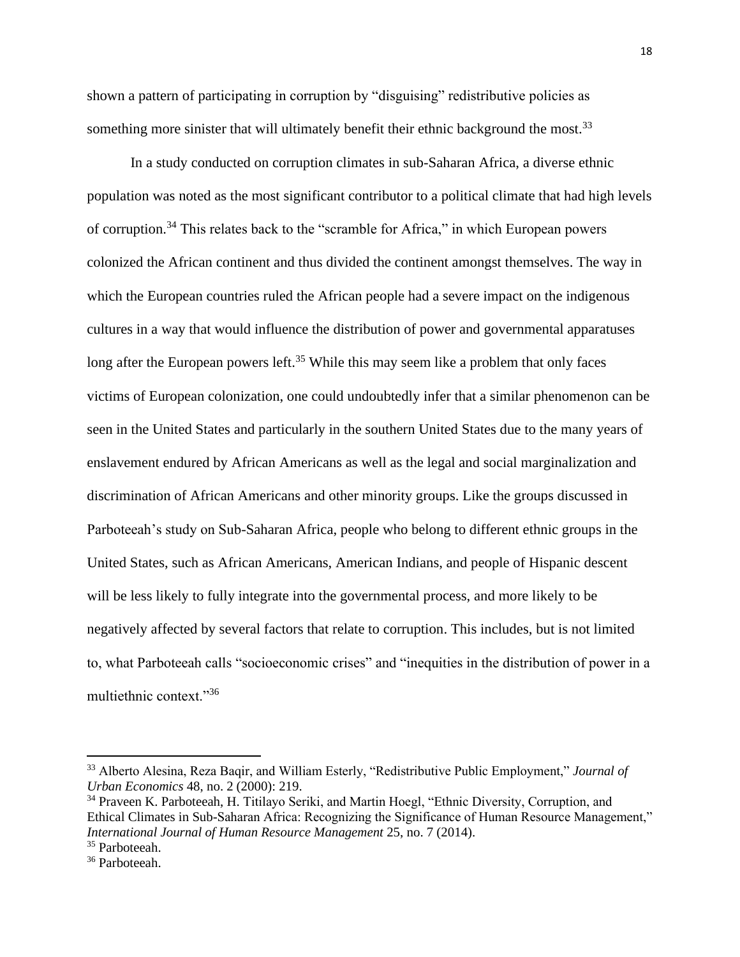shown a pattern of participating in corruption by "disguising" redistributive policies as something more sinister that will ultimately benefit their ethnic background the most.<sup>33</sup>

In a study conducted on corruption climates in sub-Saharan Africa, a diverse ethnic population was noted as the most significant contributor to a political climate that had high levels of corruption.<sup>34</sup> This relates back to the "scramble for Africa," in which European powers colonized the African continent and thus divided the continent amongst themselves. The way in which the European countries ruled the African people had a severe impact on the indigenous cultures in a way that would influence the distribution of power and governmental apparatuses long after the European powers left.<sup>35</sup> While this may seem like a problem that only faces victims of European colonization, one could undoubtedly infer that a similar phenomenon can be seen in the United States and particularly in the southern United States due to the many years of enslavement endured by African Americans as well as the legal and social marginalization and discrimination of African Americans and other minority groups. Like the groups discussed in Parboteeah's study on Sub-Saharan Africa, people who belong to different ethnic groups in the United States, such as African Americans, American Indians, and people of Hispanic descent will be less likely to fully integrate into the governmental process, and more likely to be negatively affected by several factors that relate to corruption. This includes, but is not limited to, what Parboteeah calls "socioeconomic crises" and "inequities in the distribution of power in a multiethnic context."<sup>36</sup>

<sup>33</sup> Alberto Alesina, Reza Baqir, and William Esterly, "Redistributive Public Employment," *Journal of Urban Economics* 48, no. 2 (2000): 219.

<sup>&</sup>lt;sup>34</sup> Praveen K. Parboteeah, H. Titilayo Seriki, and Martin Hoegl, "Ethnic Diversity, Corruption, and Ethical Climates in Sub-Saharan Africa: Recognizing the Significance of Human Resource Management," *International Journal of Human Resource Management* 25, no. 7 (2014).

<sup>&</sup>lt;sup>35</sup> Parboteeah.

<sup>36</sup> Parboteeah.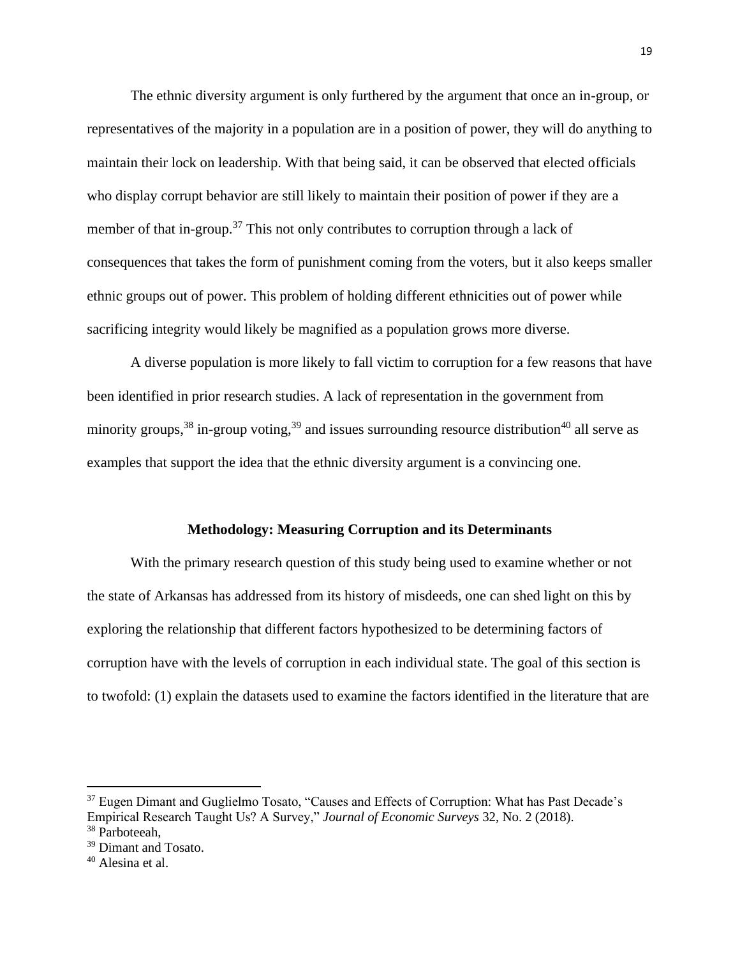The ethnic diversity argument is only furthered by the argument that once an in-group, or representatives of the majority in a population are in a position of power, they will do anything to maintain their lock on leadership. With that being said, it can be observed that elected officials who display corrupt behavior are still likely to maintain their position of power if they are a member of that in-group.<sup>37</sup> This not only contributes to corruption through a lack of consequences that takes the form of punishment coming from the voters, but it also keeps smaller ethnic groups out of power. This problem of holding different ethnicities out of power while sacrificing integrity would likely be magnified as a population grows more diverse.

A diverse population is more likely to fall victim to corruption for a few reasons that have been identified in prior research studies. A lack of representation in the government from minority groups,  $38$  in-group voting,  $39$  and issues surrounding resource distribution  $40$  all serve as examples that support the idea that the ethnic diversity argument is a convincing one.

#### **Methodology: Measuring Corruption and its Determinants**

With the primary research question of this study being used to examine whether or not the state of Arkansas has addressed from its history of misdeeds, one can shed light on this by exploring the relationship that different factors hypothesized to be determining factors of corruption have with the levels of corruption in each individual state. The goal of this section is to twofold: (1) explain the datasets used to examine the factors identified in the literature that are

<sup>&</sup>lt;sup>37</sup> Eugen Dimant and Guglielmo Tosato, "Causes and Effects of Corruption: What has Past Decade's Empirical Research Taught Us? A Survey," *Journal of Economic Surveys* 32, No. 2 (2018). <sup>38</sup> Parboteeah.

<sup>&</sup>lt;sup>39</sup> Dimant and Tosato.

<sup>40</sup> Alesina et al.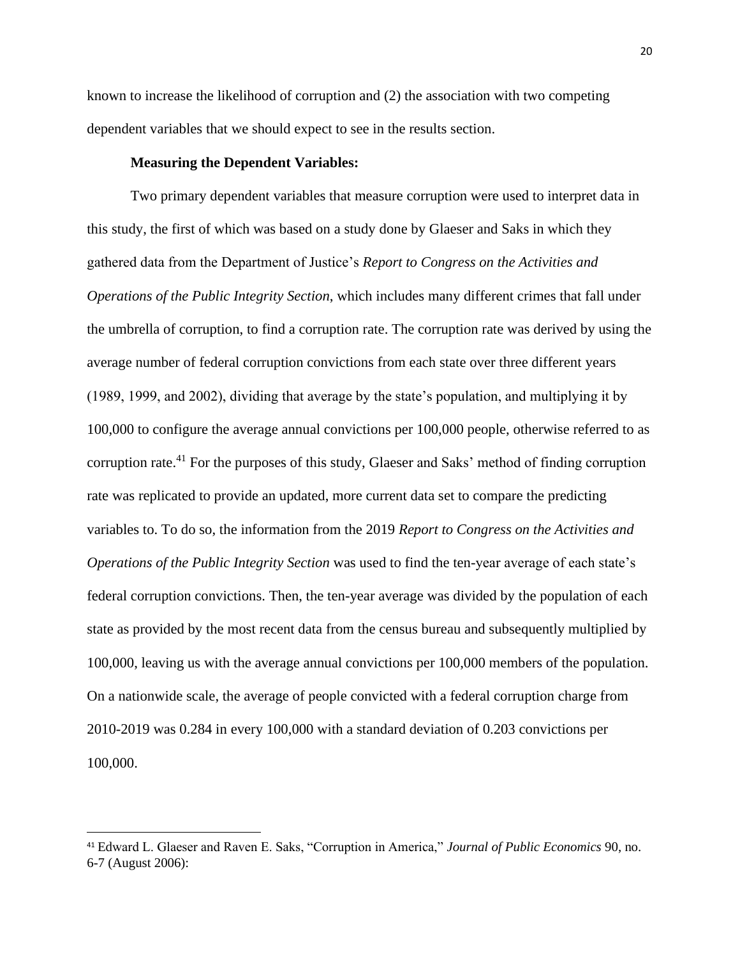known to increase the likelihood of corruption and (2) the association with two competing dependent variables that we should expect to see in the results section.

## **Measuring the Dependent Variables:**

Two primary dependent variables that measure corruption were used to interpret data in this study, the first of which was based on a study done by Glaeser and Saks in which they gathered data from the Department of Justice's *Report to Congress on the Activities and Operations of the Public Integrity Section*, which includes many different crimes that fall under the umbrella of corruption, to find a corruption rate. The corruption rate was derived by using the average number of federal corruption convictions from each state over three different years (1989, 1999, and 2002), dividing that average by the state's population, and multiplying it by 100,000 to configure the average annual convictions per 100,000 people, otherwise referred to as corruption rate.<sup>41</sup> For the purposes of this study, Glaeser and Saks' method of finding corruption rate was replicated to provide an updated, more current data set to compare the predicting variables to. To do so, the information from the 2019 *Report to Congress on the Activities and Operations of the Public Integrity Section* was used to find the ten-year average of each state's federal corruption convictions. Then, the ten-year average was divided by the population of each state as provided by the most recent data from the census bureau and subsequently multiplied by 100,000, leaving us with the average annual convictions per 100,000 members of the population. On a nationwide scale, the average of people convicted with a federal corruption charge from 2010-2019 was 0.284 in every 100,000 with a standard deviation of 0.203 convictions per 100,000.

<sup>41</sup> Edward L. Glaeser and Raven E. Saks, "Corruption in America," *Journal of Public Economics* 90, no. 6-7 (August 2006):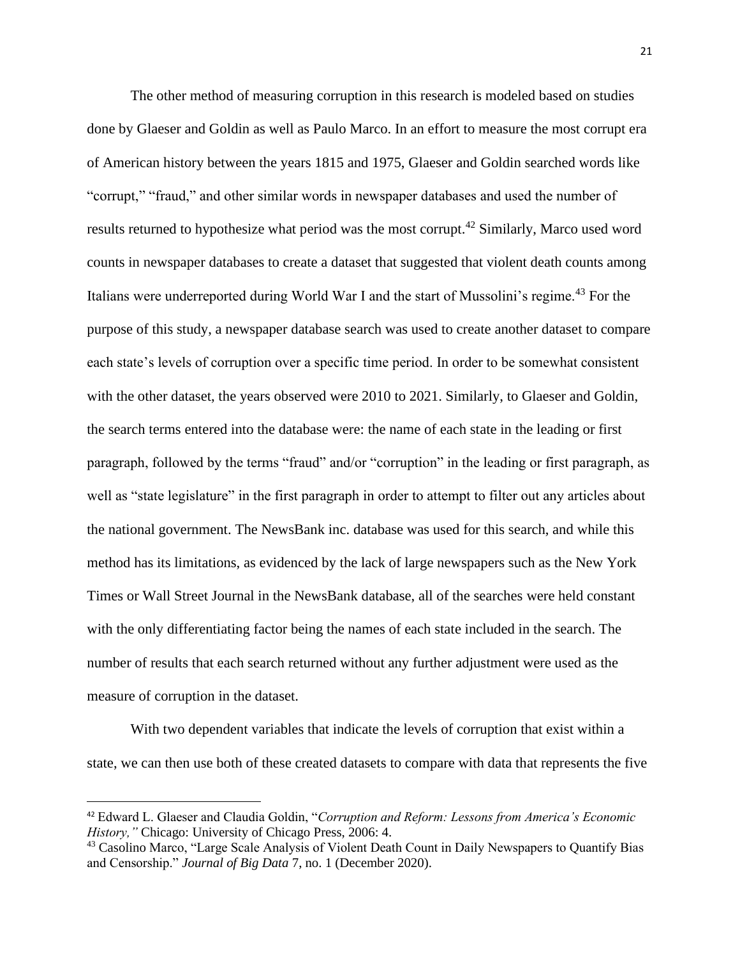The other method of measuring corruption in this research is modeled based on studies done by Glaeser and Goldin as well as Paulo Marco. In an effort to measure the most corrupt era of American history between the years 1815 and 1975, Glaeser and Goldin searched words like "corrupt," "fraud," and other similar words in newspaper databases and used the number of results returned to hypothesize what period was the most corrupt.<sup>42</sup> Similarly, Marco used word counts in newspaper databases to create a dataset that suggested that violent death counts among Italians were underreported during World War I and the start of Mussolini's regime.<sup>43</sup> For the purpose of this study, a newspaper database search was used to create another dataset to compare each state's levels of corruption over a specific time period. In order to be somewhat consistent with the other dataset, the years observed were 2010 to 2021. Similarly, to Glaeser and Goldin, the search terms entered into the database were: the name of each state in the leading or first paragraph, followed by the terms "fraud" and/or "corruption" in the leading or first paragraph, as well as "state legislature" in the first paragraph in order to attempt to filter out any articles about the national government. The NewsBank inc. database was used for this search, and while this method has its limitations, as evidenced by the lack of large newspapers such as the New York Times or Wall Street Journal in the NewsBank database, all of the searches were held constant with the only differentiating factor being the names of each state included in the search. The number of results that each search returned without any further adjustment were used as the measure of corruption in the dataset.

With two dependent variables that indicate the levels of corruption that exist within a state, we can then use both of these created datasets to compare with data that represents the five

<sup>42</sup> Edward L. Glaeser and Claudia Goldin, "*Corruption and Reform: Lessons from America's Economic History,"* Chicago: University of Chicago Press, 2006: 4.

<sup>&</sup>lt;sup>43</sup> Casolino Marco, "Large Scale Analysis of Violent Death Count in Daily Newspapers to Quantify Bias and Censorship." *Journal of Big Data* 7, no. 1 (December 2020).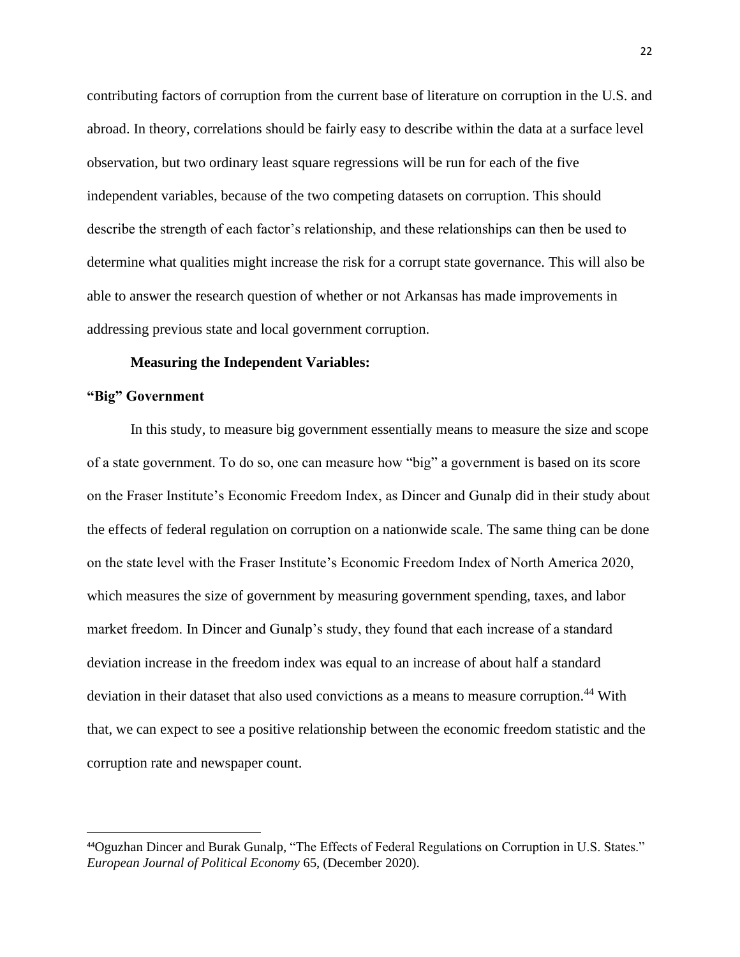contributing factors of corruption from the current base of literature on corruption in the U.S. and abroad. In theory, correlations should be fairly easy to describe within the data at a surface level observation, but two ordinary least square regressions will be run for each of the five independent variables, because of the two competing datasets on corruption. This should describe the strength of each factor's relationship, and these relationships can then be used to determine what qualities might increase the risk for a corrupt state governance. This will also be able to answer the research question of whether or not Arkansas has made improvements in addressing previous state and local government corruption.

### **Measuring the Independent Variables:**

# **"Big" Government**

In this study, to measure big government essentially means to measure the size and scope of a state government. To do so, one can measure how "big" a government is based on its score on the Fraser Institute's Economic Freedom Index, as Dincer and Gunalp did in their study about the effects of federal regulation on corruption on a nationwide scale. The same thing can be done on the state level with the Fraser Institute's Economic Freedom Index of North America 2020, which measures the size of government by measuring government spending, taxes, and labor market freedom. In Dincer and Gunalp's study, they found that each increase of a standard deviation increase in the freedom index was equal to an increase of about half a standard deviation in their dataset that also used convictions as a means to measure corruption.<sup>44</sup> With that, we can expect to see a positive relationship between the economic freedom statistic and the corruption rate and newspaper count.

<sup>44</sup>Oguzhan Dincer and Burak Gunalp, "The Effects of Federal Regulations on Corruption in U.S. States." *European Journal of Political Economy* 65, (December 2020).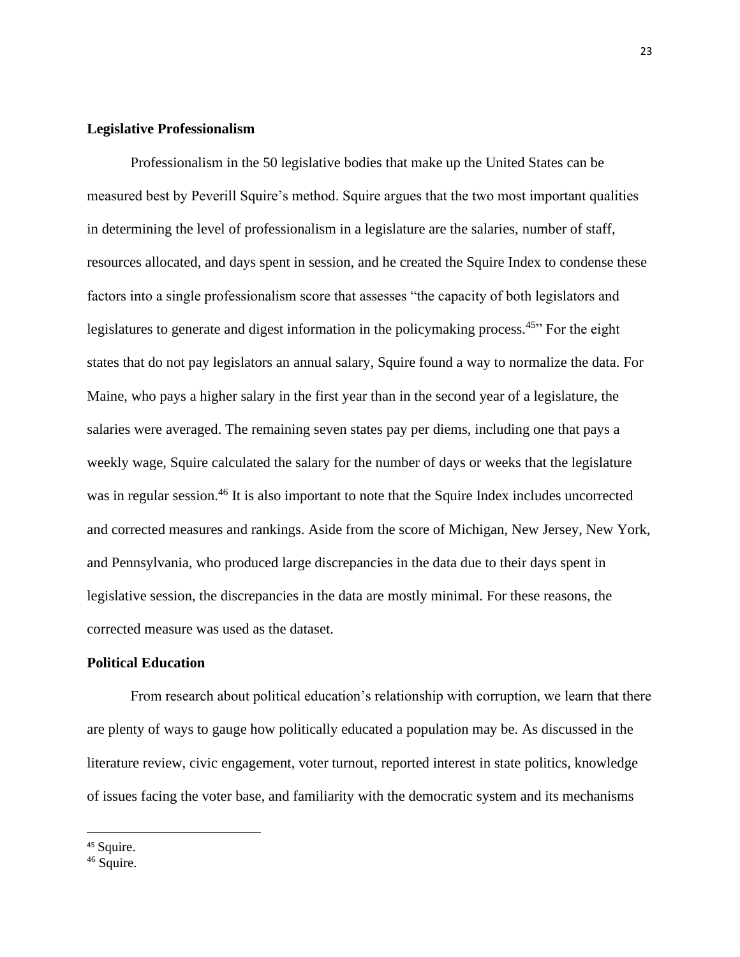# **Legislative Professionalism**

Professionalism in the 50 legislative bodies that make up the United States can be measured best by Peverill Squire's method. Squire argues that the two most important qualities in determining the level of professionalism in a legislature are the salaries, number of staff, resources allocated, and days spent in session, and he created the Squire Index to condense these factors into a single professionalism score that assesses "the capacity of both legislators and legislatures to generate and digest information in the policymaking process.<sup>45</sup>" For the eight states that do not pay legislators an annual salary, Squire found a way to normalize the data. For Maine, who pays a higher salary in the first year than in the second year of a legislature, the salaries were averaged. The remaining seven states pay per diems, including one that pays a weekly wage, Squire calculated the salary for the number of days or weeks that the legislature was in regular session.<sup>46</sup> It is also important to note that the Squire Index includes uncorrected and corrected measures and rankings. Aside from the score of Michigan, New Jersey, New York, and Pennsylvania, who produced large discrepancies in the data due to their days spent in legislative session, the discrepancies in the data are mostly minimal. For these reasons, the corrected measure was used as the dataset.

#### **Political Education**

From research about political education's relationship with corruption, we learn that there are plenty of ways to gauge how politically educated a population may be. As discussed in the literature review, civic engagement, voter turnout, reported interest in state politics, knowledge of issues facing the voter base, and familiarity with the democratic system and its mechanisms

<sup>&</sup>lt;sup>45</sup> Squire.

 $46$  Squire.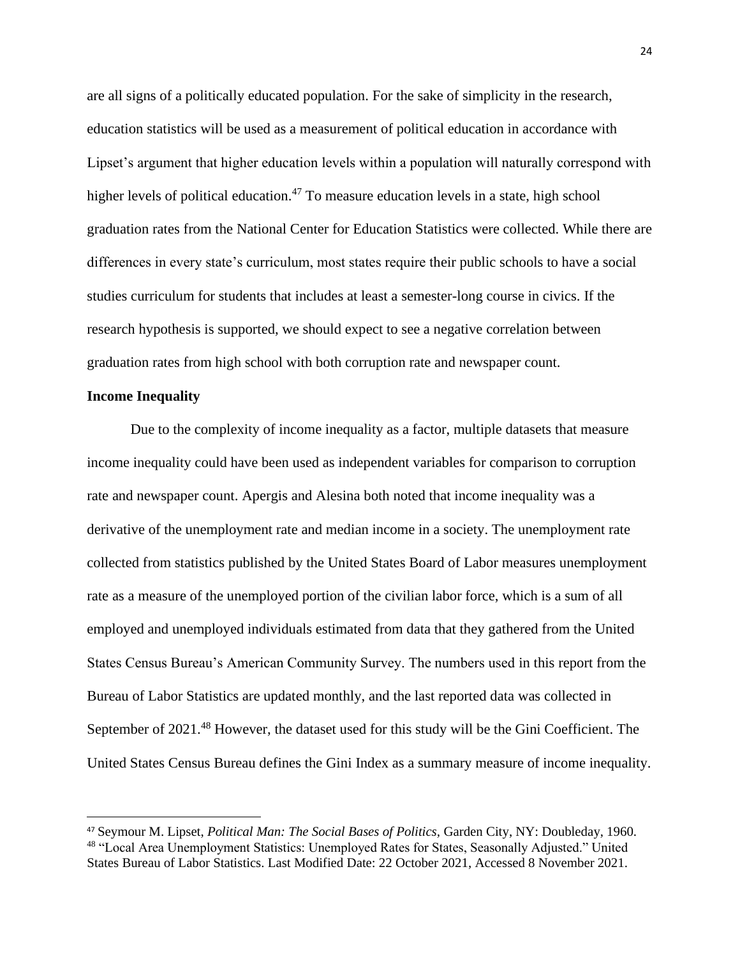are all signs of a politically educated population. For the sake of simplicity in the research, education statistics will be used as a measurement of political education in accordance with Lipset's argument that higher education levels within a population will naturally correspond with higher levels of political education.<sup>47</sup> To measure education levels in a state, high school graduation rates from the National Center for Education Statistics were collected. While there are differences in every state's curriculum, most states require their public schools to have a social studies curriculum for students that includes at least a semester-long course in civics. If the research hypothesis is supported, we should expect to see a negative correlation between graduation rates from high school with both corruption rate and newspaper count.

# **Income Inequality**

Due to the complexity of income inequality as a factor, multiple datasets that measure income inequality could have been used as independent variables for comparison to corruption rate and newspaper count. Apergis and Alesina both noted that income inequality was a derivative of the unemployment rate and median income in a society. The unemployment rate collected from statistics published by the United States Board of Labor measures unemployment rate as a measure of the unemployed portion of the civilian labor force, which is a sum of all employed and unemployed individuals estimated from data that they gathered from the United States Census Bureau's American Community Survey. The numbers used in this report from the Bureau of Labor Statistics are updated monthly, and the last reported data was collected in September of 2021.<sup>48</sup> However, the dataset used for this study will be the Gini Coefficient. The United States Census Bureau defines the Gini Index as a summary measure of income inequality.

<sup>47</sup> Seymour M. Lipset, *Political Man: The Social Bases of Politics,* Garden City, NY: Doubleday, 1960. <sup>48</sup> "Local Area Unemployment Statistics: Unemployed Rates for States, Seasonally Adjusted." United States Bureau of Labor Statistics. Last Modified Date: 22 October 2021, Accessed 8 November 2021.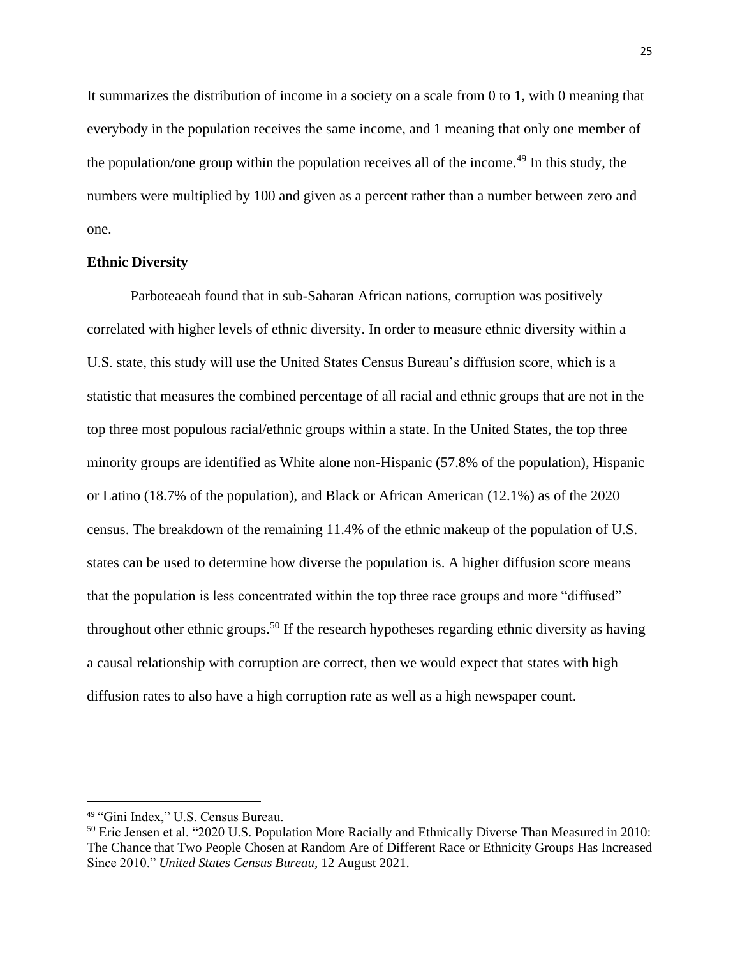It summarizes the distribution of income in a society on a scale from 0 to 1, with 0 meaning that everybody in the population receives the same income, and 1 meaning that only one member of the population/one group within the population receives all of the income.<sup>49</sup> In this study, the numbers were multiplied by 100 and given as a percent rather than a number between zero and one.

# **Ethnic Diversity**

Parboteaeah found that in sub-Saharan African nations, corruption was positively correlated with higher levels of ethnic diversity. In order to measure ethnic diversity within a U.S. state, this study will use the United States Census Bureau's diffusion score, which is a statistic that measures the combined percentage of all racial and ethnic groups that are not in the top three most populous racial/ethnic groups within a state. In the United States, the top three minority groups are identified as White alone non-Hispanic (57.8% of the population), Hispanic or Latino (18.7% of the population), and Black or African American (12.1%) as of the 2020 census. The breakdown of the remaining 11.4% of the ethnic makeup of the population of U.S. states can be used to determine how diverse the population is. A higher diffusion score means that the population is less concentrated within the top three race groups and more "diffused" throughout other ethnic groups.<sup>50</sup> If the research hypotheses regarding ethnic diversity as having a causal relationship with corruption are correct, then we would expect that states with high diffusion rates to also have a high corruption rate as well as a high newspaper count.

<sup>49</sup> "Gini Index," U.S. Census Bureau.

<sup>50</sup> Eric Jensen et al. "2020 U.S. Population More Racially and Ethnically Diverse Than Measured in 2010: The Chance that Two People Chosen at Random Are of Different Race or Ethnicity Groups Has Increased Since 2010." *United States Census Bureau,* 12 August 2021.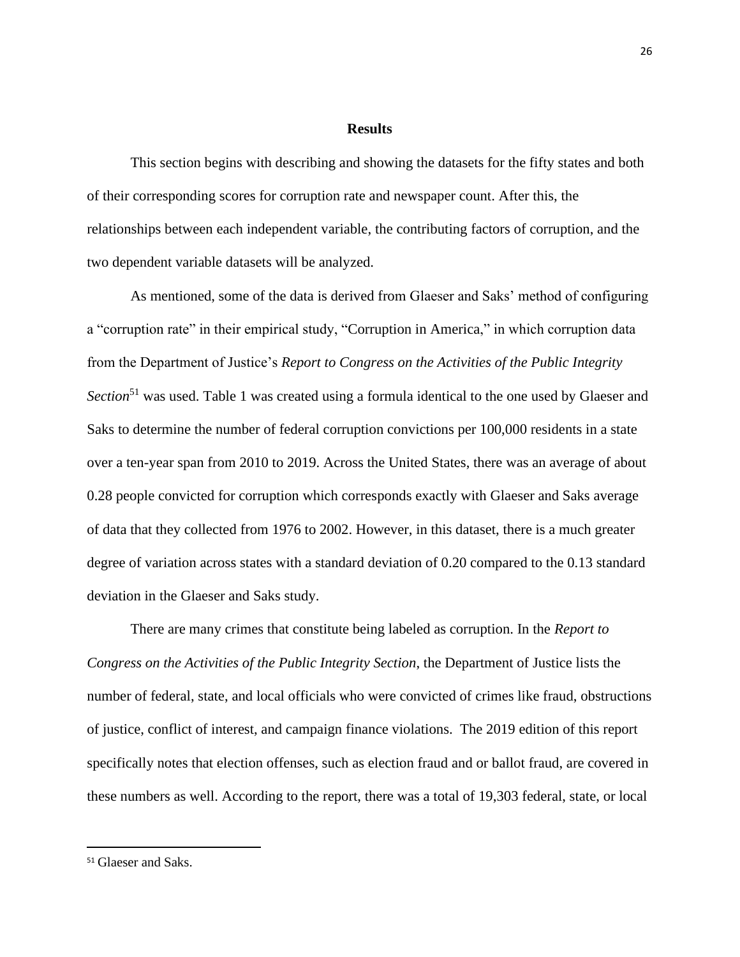#### **Results**

This section begins with describing and showing the datasets for the fifty states and both of their corresponding scores for corruption rate and newspaper count. After this, the relationships between each independent variable, the contributing factors of corruption, and the two dependent variable datasets will be analyzed.

As mentioned, some of the data is derived from Glaeser and Saks' method of configuring a "corruption rate" in their empirical study, "Corruption in America," in which corruption data from the Department of Justice's *Report to Congress on the Activities of the Public Integrity Section*<sup>51</sup> was used. Table 1 was created using a formula identical to the one used by Glaeser and Saks to determine the number of federal corruption convictions per 100,000 residents in a state over a ten-year span from 2010 to 2019. Across the United States, there was an average of about 0.28 people convicted for corruption which corresponds exactly with Glaeser and Saks average of data that they collected from 1976 to 2002. However, in this dataset, there is a much greater degree of variation across states with a standard deviation of 0.20 compared to the 0.13 standard deviation in the Glaeser and Saks study.

There are many crimes that constitute being labeled as corruption. In the *Report to Congress on the Activities of the Public Integrity Section*, the Department of Justice lists the number of federal, state, and local officials who were convicted of crimes like fraud, obstructions of justice, conflict of interest, and campaign finance violations. The 2019 edition of this report specifically notes that election offenses, such as election fraud and or ballot fraud, are covered in these numbers as well. According to the report, there was a total of 19,303 federal, state, or local

<sup>51</sup> Glaeser and Saks.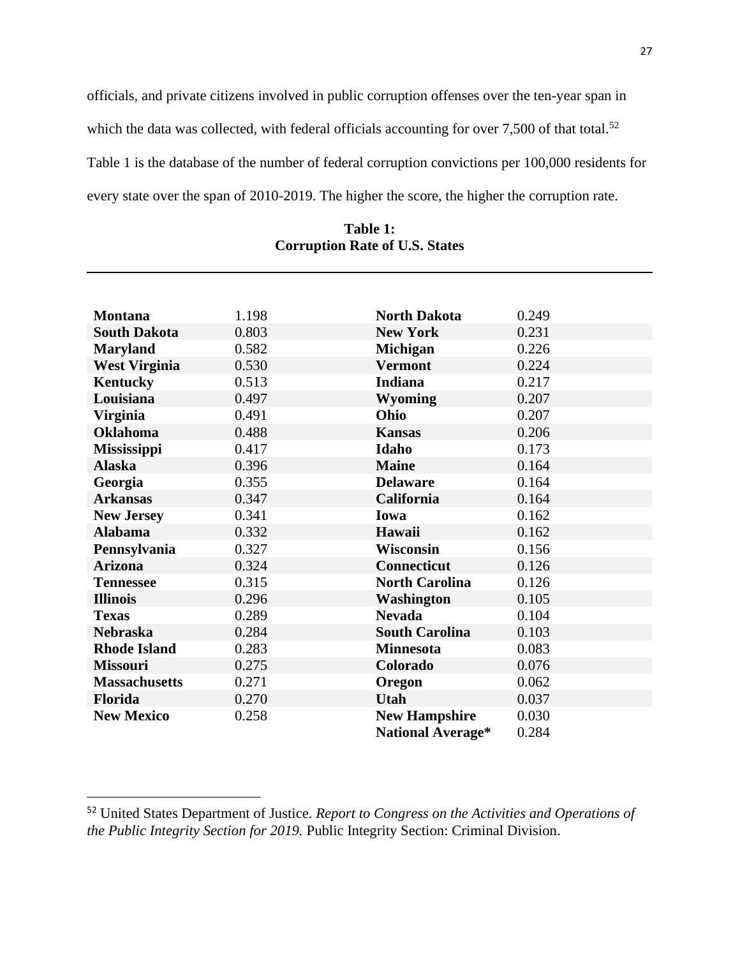officials, and private citizens involved in public corruption offenses over the ten-year span in which the data was collected, with federal officials accounting for over  $7,500$  of that total.<sup>52</sup> Table 1 is the database of the number of federal corruption convictions per 100,000 residents for every state over the span of 2010-2019. The higher the score, the higher the corruption rate.

| <b>Montana</b>       | 1.198 | <b>North Dakota</b>      | 0.249 |
|----------------------|-------|--------------------------|-------|
| <b>South Dakota</b>  | 0.803 | <b>New York</b>          | 0.231 |
| <b>Maryland</b>      | 0.582 | <b>Michigan</b>          | 0.226 |
| <b>West Virginia</b> | 0.530 | <b>Vermont</b>           | 0.224 |
| <b>Kentucky</b>      | 0.513 | Indiana                  | 0.217 |
| Louisiana            | 0.497 | <b>Wyoming</b>           | 0.207 |
| <b>Virginia</b>      | 0.491 | Ohio                     | 0.207 |
| <b>Oklahoma</b>      | 0.488 | <b>Kansas</b>            | 0.206 |
| Mississippi          | 0.417 | Idaho                    | 0.173 |
| <b>Alaska</b>        | 0.396 | <b>Maine</b>             | 0.164 |
| Georgia              | 0.355 | <b>Delaware</b>          | 0.164 |
| <b>Arkansas</b>      | 0.347 | California               | 0.164 |
| <b>New Jersey</b>    | 0.341 | Iowa                     | 0.162 |
| <b>Alabama</b>       | 0.332 | Hawaii                   | 0.162 |
| Pennsylvania         | 0.327 | <b>Wisconsin</b>         | 0.156 |
| <b>Arizona</b>       | 0.324 | <b>Connecticut</b>       | 0.126 |
| <b>Tennessee</b>     | 0.315 | <b>North Carolina</b>    | 0.126 |
| <b>Illinois</b>      | 0.296 | Washington               | 0.105 |
| <b>Texas</b>         | 0.289 | <b>Nevada</b>            | 0.104 |
| <b>Nebraska</b>      | 0.284 | <b>South Carolina</b>    | 0.103 |
| <b>Rhode Island</b>  | 0.283 | <b>Minnesota</b>         | 0.083 |
| <b>Missouri</b>      | 0.275 | Colorado                 | 0.076 |
| <b>Massachusetts</b> | 0.271 | Oregon                   | 0.062 |
| <b>Florida</b>       | 0.270 | <b>Utah</b>              | 0.037 |
| <b>New Mexico</b>    | 0.258 | <b>New Hampshire</b>     | 0.030 |
|                      |       | <b>National Average*</b> | 0.284 |

**Table 1: Corruption Rate of U.S. States**

<sup>52</sup> United States Department of Justice. *Report to Congress on the Activities and Operations of the Public Integrity Section for 2019.* Public Integrity Section: Criminal Division.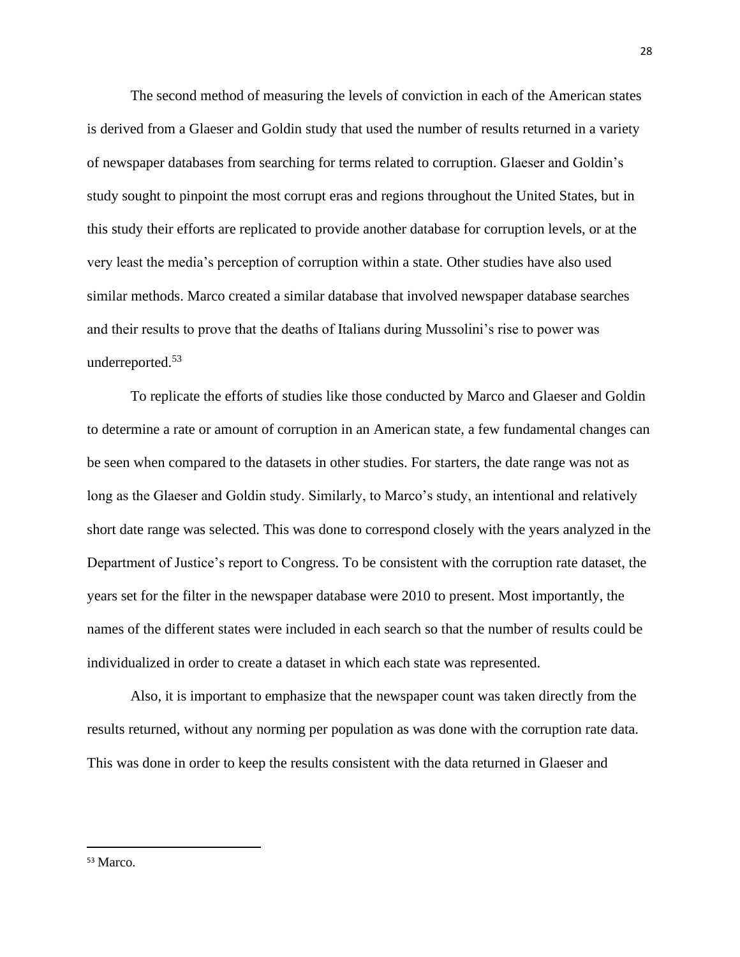The second method of measuring the levels of conviction in each of the American states is derived from a Glaeser and Goldin study that used the number of results returned in a variety of newspaper databases from searching for terms related to corruption. Glaeser and Goldin's study sought to pinpoint the most corrupt eras and regions throughout the United States, but in this study their efforts are replicated to provide another database for corruption levels, or at the very least the media's perception of corruption within a state. Other studies have also used similar methods. Marco created a similar database that involved newspaper database searches and their results to prove that the deaths of Italians during Mussolini's rise to power was underreported.<sup>53</sup>

To replicate the efforts of studies like those conducted by Marco and Glaeser and Goldin to determine a rate or amount of corruption in an American state, a few fundamental changes can be seen when compared to the datasets in other studies. For starters, the date range was not as long as the Glaeser and Goldin study. Similarly, to Marco's study, an intentional and relatively short date range was selected. This was done to correspond closely with the years analyzed in the Department of Justice's report to Congress. To be consistent with the corruption rate dataset, the years set for the filter in the newspaper database were 2010 to present. Most importantly, the names of the different states were included in each search so that the number of results could be individualized in order to create a dataset in which each state was represented.

Also, it is important to emphasize that the newspaper count was taken directly from the results returned, without any norming per population as was done with the corruption rate data. This was done in order to keep the results consistent with the data returned in Glaeser and

<sup>28</sup>

<sup>53</sup> Marco.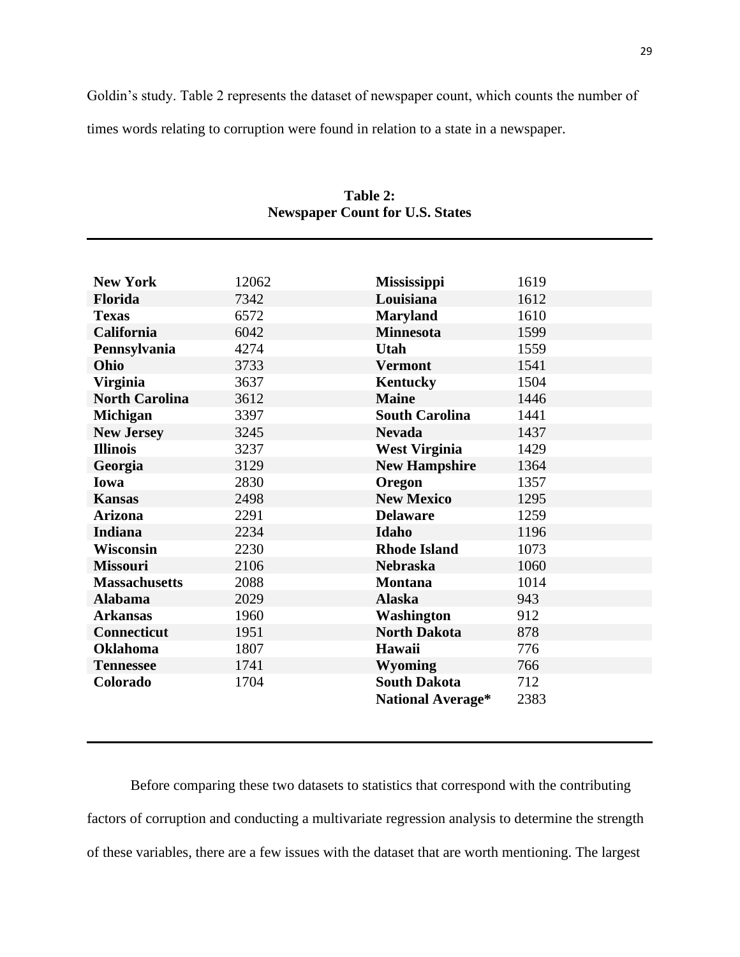Goldin's study. Table 2 represents the dataset of newspaper count, which counts the number of times words relating to corruption were found in relation to a state in a newspaper.

| <b>New York</b>       | 12062 | <b>Mississippi</b>       | 1619 |
|-----------------------|-------|--------------------------|------|
| <b>Florida</b>        | 7342  | Louisiana                | 1612 |
| <b>Texas</b>          | 6572  | <b>Maryland</b>          | 1610 |
| <b>California</b>     | 6042  | <b>Minnesota</b>         | 1599 |
| Pennsylvania          | 4274  | <b>Utah</b>              | 1559 |
| Ohio                  | 3733  | <b>Vermont</b>           | 1541 |
| <b>Virginia</b>       | 3637  | <b>Kentucky</b>          | 1504 |
| <b>North Carolina</b> | 3612  | <b>Maine</b>             | 1446 |
| <b>Michigan</b>       | 3397  | <b>South Carolina</b>    | 1441 |
| <b>New Jersey</b>     | 3245  | <b>Nevada</b>            | 1437 |
| <b>Illinois</b>       | 3237  | <b>West Virginia</b>     | 1429 |
| Georgia               | 3129  | <b>New Hampshire</b>     | 1364 |
| Iowa                  | 2830  | Oregon                   | 1357 |
| <b>Kansas</b>         | 2498  | <b>New Mexico</b>        | 1295 |
| <b>Arizona</b>        | 2291  | <b>Delaware</b>          | 1259 |
| <b>Indiana</b>        | 2234  | Idaho                    | 1196 |
| <b>Wisconsin</b>      | 2230  | <b>Rhode Island</b>      | 1073 |
| <b>Missouri</b>       | 2106  | <b>Nebraska</b>          | 1060 |
| <b>Massachusetts</b>  | 2088  | <b>Montana</b>           | 1014 |
| <b>Alabama</b>        | 2029  | <b>Alaska</b>            | 943  |
| <b>Arkansas</b>       | 1960  | Washington               | 912  |
| <b>Connecticut</b>    | 1951  | <b>North Dakota</b>      | 878  |
| <b>Oklahoma</b>       | 1807  | Hawaii                   | 776  |
| <b>Tennessee</b>      | 1741  | <b>Wyoming</b>           | 766  |
| Colorado              | 1704  | <b>South Dakota</b>      | 712  |
|                       |       | <b>National Average*</b> | 2383 |

**Table 2: Newspaper Count for U.S. States**

Before comparing these two datasets to statistics that correspond with the contributing factors of corruption and conducting a multivariate regression analysis to determine the strength of these variables, there are a few issues with the dataset that are worth mentioning. The largest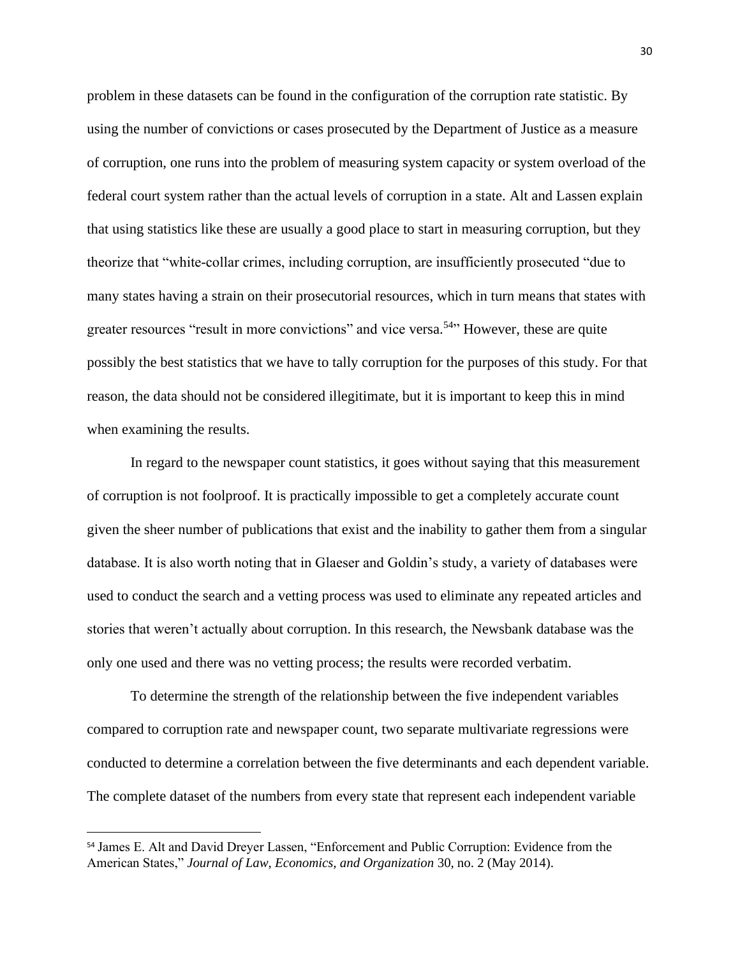problem in these datasets can be found in the configuration of the corruption rate statistic. By using the number of convictions or cases prosecuted by the Department of Justice as a measure of corruption, one runs into the problem of measuring system capacity or system overload of the federal court system rather than the actual levels of corruption in a state. Alt and Lassen explain that using statistics like these are usually a good place to start in measuring corruption, but they theorize that "white-collar crimes, including corruption, are insufficiently prosecuted "due to many states having a strain on their prosecutorial resources, which in turn means that states with greater resources "result in more convictions" and vice versa.<sup>54</sup> However, these are quite possibly the best statistics that we have to tally corruption for the purposes of this study. For that reason, the data should not be considered illegitimate, but it is important to keep this in mind when examining the results.

In regard to the newspaper count statistics, it goes without saying that this measurement of corruption is not foolproof. It is practically impossible to get a completely accurate count given the sheer number of publications that exist and the inability to gather them from a singular database. It is also worth noting that in Glaeser and Goldin's study, a variety of databases were used to conduct the search and a vetting process was used to eliminate any repeated articles and stories that weren't actually about corruption. In this research, the Newsbank database was the only one used and there was no vetting process; the results were recorded verbatim.

To determine the strength of the relationship between the five independent variables compared to corruption rate and newspaper count, two separate multivariate regressions were conducted to determine a correlation between the five determinants and each dependent variable. The complete dataset of the numbers from every state that represent each independent variable

<sup>54</sup> James E. Alt and David Dreyer Lassen, "Enforcement and Public Corruption: Evidence from the American States," *Journal of Law, Economics, and Organization* 30, no. 2 (May 2014).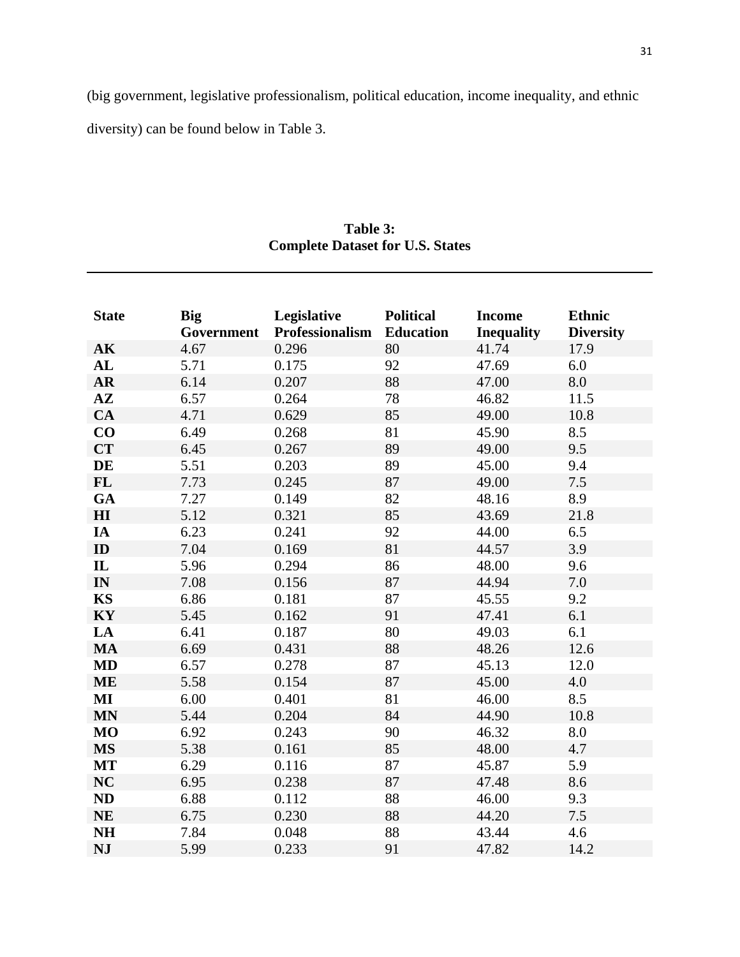(big government, legislative professionalism, political education, income inequality, and ethnic diversity) can be found below in Table 3.

| <b>State</b>             | <b>Big</b><br>Government | Legislative<br><b>Professionalism</b> | <b>Political</b><br><b>Education</b> | <b>Income</b><br><b>Inequality</b> | <b>Ethnic</b><br><b>Diversity</b> |
|--------------------------|--------------------------|---------------------------------------|--------------------------------------|------------------------------------|-----------------------------------|
| AK                       | 4.67                     | 0.296                                 | 80                                   | 41.74                              | 17.9                              |
| AL                       | 5.71                     | 0.175                                 | 92                                   | 47.69                              | 6.0                               |
| $\overline{\mathbf{AR}}$ | 6.14                     | 0.207                                 | 88                                   | 47.00                              | 8.0                               |
| $A\mathbf{Z}$            | 6.57                     | 0.264                                 | 78                                   | 46.82                              | 11.5                              |
| <b>CA</b>                | 4.71                     | 0.629                                 | 85                                   | 49.00                              | 10.8                              |
| CO                       | 6.49                     | 0.268                                 | 81                                   | 45.90                              | 8.5                               |
| <b>CT</b>                | 6.45                     | 0.267                                 | 89                                   | 49.00                              | 9.5                               |
| DE                       | 5.51                     | 0.203                                 | 89                                   | 45.00                              | 9.4                               |
| <b>FL</b>                | 7.73                     | 0.245                                 | 87                                   | 49.00                              | 7.5                               |
| GA                       | 7.27                     | 0.149                                 | 82                                   | 48.16                              | 8.9                               |
| H <sub>I</sub>           | 5.12                     | 0.321                                 | 85                                   | 43.69                              | 21.8                              |
| IA                       | 6.23                     | 0.241                                 | 92                                   | 44.00                              | 6.5                               |
| ID                       | 7.04                     | 0.169                                 | 81                                   | 44.57                              | 3.9                               |
| $\mathbf{I}$             | 5.96                     | 0.294                                 | 86                                   | 48.00                              | 9.6                               |
| IN                       | 7.08                     | 0.156                                 | 87                                   | 44.94                              | 7.0                               |
| <b>KS</b>                | 6.86                     | 0.181                                 | 87                                   | 45.55                              | 9.2                               |
| KY                       | 5.45                     | 0.162                                 | 91                                   | 47.41                              | 6.1                               |
| LA                       | 6.41                     | 0.187                                 | 80                                   | 49.03                              | 6.1                               |
| <b>MA</b>                | 6.69                     | 0.431                                 | 88                                   | 48.26                              | 12.6                              |
| <b>MD</b>                | 6.57                     | 0.278                                 | 87                                   | 45.13                              | 12.0                              |
| <b>ME</b>                | 5.58                     | 0.154                                 | 87                                   | 45.00                              | 4.0                               |
| $\bf{MI}$                | 6.00                     | 0.401                                 | 81                                   | 46.00                              | 8.5                               |
| <b>MN</b>                | 5.44                     | 0.204                                 | 84                                   | 44.90                              | 10.8                              |
| <b>MO</b>                | 6.92                     | 0.243                                 | 90                                   | 46.32                              | 8.0                               |
| <b>MS</b>                | 5.38                     | 0.161                                 | 85                                   | 48.00                              | 4.7                               |
| <b>MT</b>                | 6.29                     | 0.116                                 | 87                                   | 45.87                              | 5.9                               |
| <b>NC</b>                | 6.95                     | 0.238                                 | 87                                   | 47.48                              | 8.6                               |
| <b>ND</b>                | 6.88                     | 0.112                                 | 88                                   | 46.00                              | 9.3                               |
| <b>NE</b>                | 6.75                     | 0.230                                 | 88                                   | 44.20                              | 7.5                               |
| <b>NH</b>                | 7.84                     | 0.048                                 | 88                                   | 43.44                              | 4.6                               |
| <b>NJ</b>                | 5.99                     | 0.233                                 | 91                                   | 47.82                              | 14.2                              |

**Table 3: Complete Dataset for U.S. States**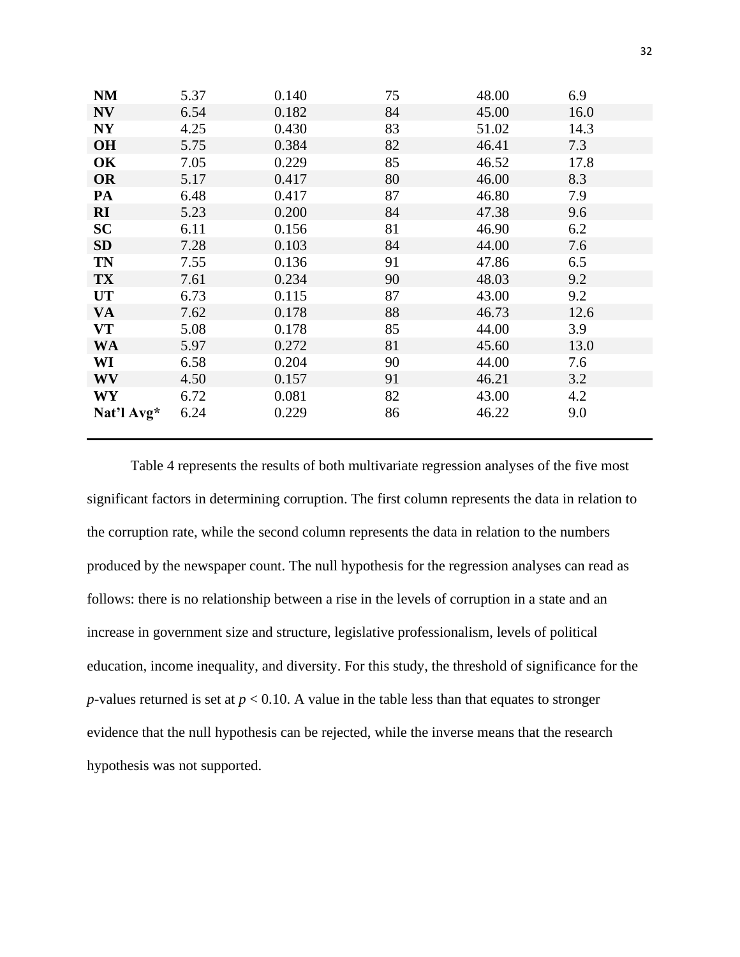| <b>NM</b>             | 5.37 | 0.140 | 75 | 48.00 | 6.9  |
|-----------------------|------|-------|----|-------|------|
| <b>NV</b>             | 6.54 | 0.182 | 84 | 45.00 | 16.0 |
| NY                    | 4.25 | 0.430 | 83 | 51.02 | 14.3 |
| <b>OH</b>             | 5.75 | 0.384 | 82 | 46.41 | 7.3  |
| OK                    | 7.05 | 0.229 | 85 | 46.52 | 17.8 |
| <b>OR</b>             | 5.17 | 0.417 | 80 | 46.00 | 8.3  |
| PA                    | 6.48 | 0.417 | 87 | 46.80 | 7.9  |
| $\mathbf{R}$ <b>I</b> | 5.23 | 0.200 | 84 | 47.38 | 9.6  |
| <b>SC</b>             | 6.11 | 0.156 | 81 | 46.90 | 6.2  |
| <b>SD</b>             | 7.28 | 0.103 | 84 | 44.00 | 7.6  |
| TN                    | 7.55 | 0.136 | 91 | 47.86 | 6.5  |
| <b>TX</b>             | 7.61 | 0.234 | 90 | 48.03 | 9.2  |
| <b>UT</b>             | 6.73 | 0.115 | 87 | 43.00 | 9.2  |
| <b>VA</b>             | 7.62 | 0.178 | 88 | 46.73 | 12.6 |
| VT                    | 5.08 | 0.178 | 85 | 44.00 | 3.9  |
| <b>WA</b>             | 5.97 | 0.272 | 81 | 45.60 | 13.0 |
| WI                    | 6.58 | 0.204 | 90 | 44.00 | 7.6  |
| <b>WV</b>             | 4.50 | 0.157 | 91 | 46.21 | 3.2  |
| <b>WY</b>             | 6.72 | 0.081 | 82 | 43.00 | 4.2  |
| Nat'l Avg*            | 6.24 | 0.229 | 86 | 46.22 | 9.0  |

Table 4 represents the results of both multivariate regression analyses of the five most significant factors in determining corruption. The first column represents the data in relation to the corruption rate, while the second column represents the data in relation to the numbers produced by the newspaper count. The null hypothesis for the regression analyses can read as follows: there is no relationship between a rise in the levels of corruption in a state and an increase in government size and structure, legislative professionalism, levels of political education, income inequality, and diversity. For this study, the threshold of significance for the *p*-values returned is set at  $p < 0.10$ . A value in the table less than that equates to stronger evidence that the null hypothesis can be rejected, while the inverse means that the research hypothesis was not supported.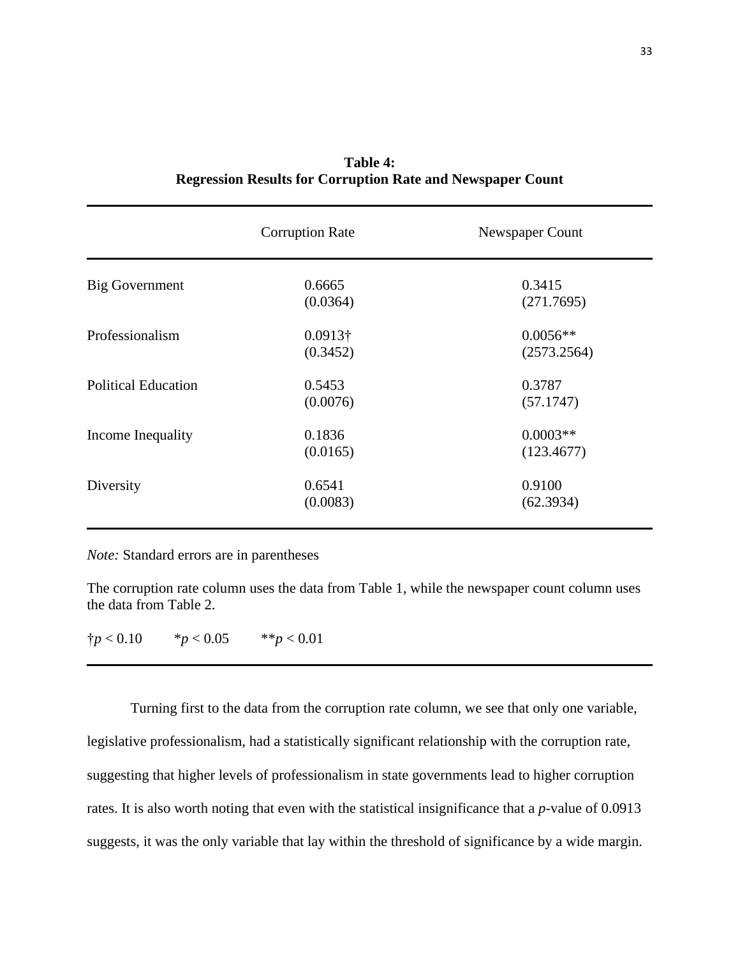|                            | <b>Corruption Rate</b> | Newspaper Count |
|----------------------------|------------------------|-----------------|
| Big Government             | 0.6665                 | 0.3415          |
|                            | (0.0364)               | (271.7695)      |
| Professionalism            | $0.0913\dagger$        | $0.0056**$      |
|                            | (0.3452)               | (2573.2564)     |
| <b>Political Education</b> | 0.5453                 | 0.3787          |
|                            | (0.0076)               | (57.1747)       |
| Income Inequality          | 0.1836                 | $0.0003**$      |
|                            | (0.0165)               | (123.4677)      |
| Diversity                  | 0.6541                 | 0.9100          |
|                            | (0.0083)               | (62.3934)       |

| <b>Table 4:</b>                                                   |  |
|-------------------------------------------------------------------|--|
| <b>Regression Results for Corruption Rate and Newspaper Count</b> |  |

*Note:* Standard errors are in parentheses

The corruption rate column uses the data from Table 1, while the newspaper count column uses the data from Table 2.

 $\frac{1}{7}p < 0.10$  \* *p* < 0.05 \*\* *p* < 0.01

Turning first to the data from the corruption rate column, we see that only one variable, legislative professionalism, had a statistically significant relationship with the corruption rate, suggesting that higher levels of professionalism in state governments lead to higher corruption rates. It is also worth noting that even with the statistical insignificance that a *p*-value of 0.0913 suggests, it was the only variable that lay within the threshold of significance by a wide margin.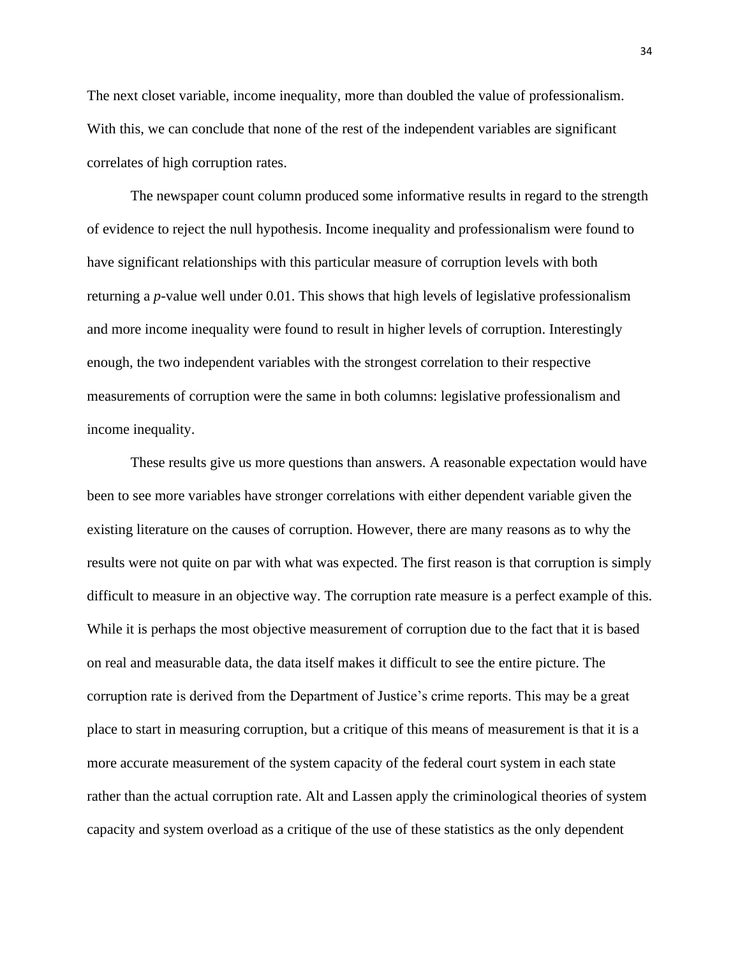The next closet variable, income inequality, more than doubled the value of professionalism. With this, we can conclude that none of the rest of the independent variables are significant correlates of high corruption rates.

The newspaper count column produced some informative results in regard to the strength of evidence to reject the null hypothesis. Income inequality and professionalism were found to have significant relationships with this particular measure of corruption levels with both returning a *p*-value well under 0.01. This shows that high levels of legislative professionalism and more income inequality were found to result in higher levels of corruption. Interestingly enough, the two independent variables with the strongest correlation to their respective measurements of corruption were the same in both columns: legislative professionalism and income inequality.

These results give us more questions than answers. A reasonable expectation would have been to see more variables have stronger correlations with either dependent variable given the existing literature on the causes of corruption. However, there are many reasons as to why the results were not quite on par with what was expected. The first reason is that corruption is simply difficult to measure in an objective way. The corruption rate measure is a perfect example of this. While it is perhaps the most objective measurement of corruption due to the fact that it is based on real and measurable data, the data itself makes it difficult to see the entire picture. The corruption rate is derived from the Department of Justice's crime reports. This may be a great place to start in measuring corruption, but a critique of this means of measurement is that it is a more accurate measurement of the system capacity of the federal court system in each state rather than the actual corruption rate. Alt and Lassen apply the criminological theories of system capacity and system overload as a critique of the use of these statistics as the only dependent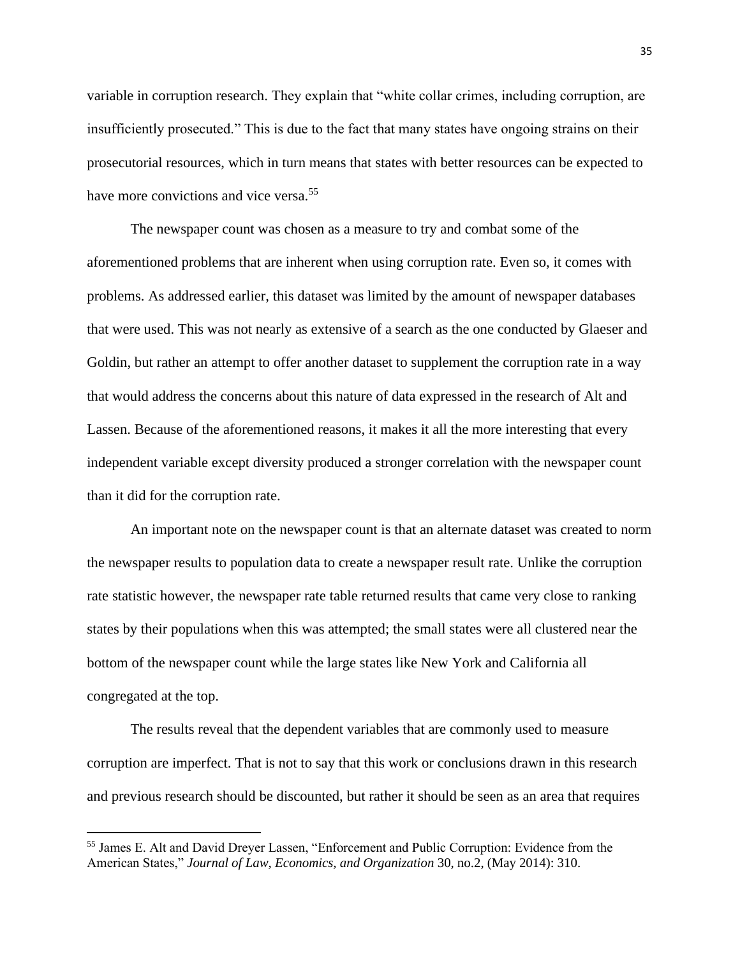variable in corruption research. They explain that "white collar crimes, including corruption, are insufficiently prosecuted." This is due to the fact that many states have ongoing strains on their prosecutorial resources, which in turn means that states with better resources can be expected to have more convictions and vice versa.<sup>55</sup>

The newspaper count was chosen as a measure to try and combat some of the aforementioned problems that are inherent when using corruption rate. Even so, it comes with problems. As addressed earlier, this dataset was limited by the amount of newspaper databases that were used. This was not nearly as extensive of a search as the one conducted by Glaeser and Goldin, but rather an attempt to offer another dataset to supplement the corruption rate in a way that would address the concerns about this nature of data expressed in the research of Alt and Lassen. Because of the aforementioned reasons, it makes it all the more interesting that every independent variable except diversity produced a stronger correlation with the newspaper count than it did for the corruption rate.

An important note on the newspaper count is that an alternate dataset was created to norm the newspaper results to population data to create a newspaper result rate. Unlike the corruption rate statistic however, the newspaper rate table returned results that came very close to ranking states by their populations when this was attempted; the small states were all clustered near the bottom of the newspaper count while the large states like New York and California all congregated at the top.

The results reveal that the dependent variables that are commonly used to measure corruption are imperfect. That is not to say that this work or conclusions drawn in this research and previous research should be discounted, but rather it should be seen as an area that requires

<sup>&</sup>lt;sup>55</sup> James E. Alt and David Dreyer Lassen, "Enforcement and Public Corruption: Evidence from the American States," *Journal of Law, Economics, and Organization* 30, no.2, (May 2014): 310.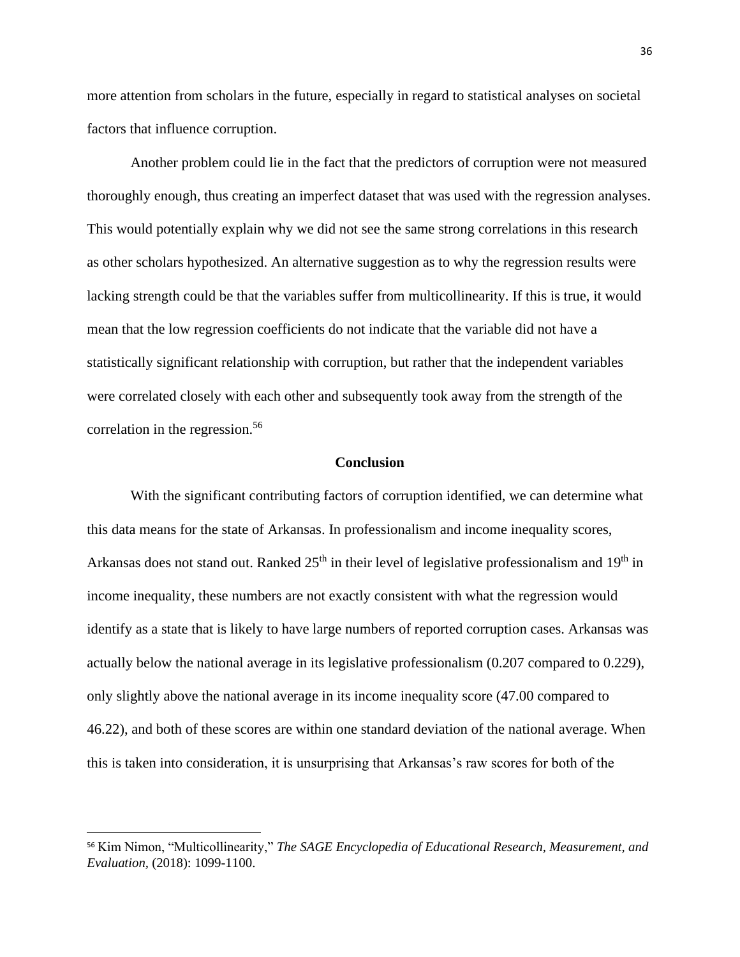more attention from scholars in the future, especially in regard to statistical analyses on societal factors that influence corruption.

Another problem could lie in the fact that the predictors of corruption were not measured thoroughly enough, thus creating an imperfect dataset that was used with the regression analyses. This would potentially explain why we did not see the same strong correlations in this research as other scholars hypothesized. An alternative suggestion as to why the regression results were lacking strength could be that the variables suffer from multicollinearity. If this is true, it would mean that the low regression coefficients do not indicate that the variable did not have a statistically significant relationship with corruption, but rather that the independent variables were correlated closely with each other and subsequently took away from the strength of the correlation in the regression.<sup>56</sup>

#### **Conclusion**

With the significant contributing factors of corruption identified, we can determine what this data means for the state of Arkansas. In professionalism and income inequality scores, Arkansas does not stand out. Ranked  $25<sup>th</sup>$  in their level of legislative professionalism and  $19<sup>th</sup>$  in income inequality, these numbers are not exactly consistent with what the regression would identify as a state that is likely to have large numbers of reported corruption cases. Arkansas was actually below the national average in its legislative professionalism (0.207 compared to 0.229), only slightly above the national average in its income inequality score (47.00 compared to 46.22), and both of these scores are within one standard deviation of the national average. When this is taken into consideration, it is unsurprising that Arkansas's raw scores for both of the

<sup>56</sup> Kim Nimon, "Multicollinearity," *The SAGE Encyclopedia of Educational Research, Measurement, and Evaluation,* (2018): 1099-1100.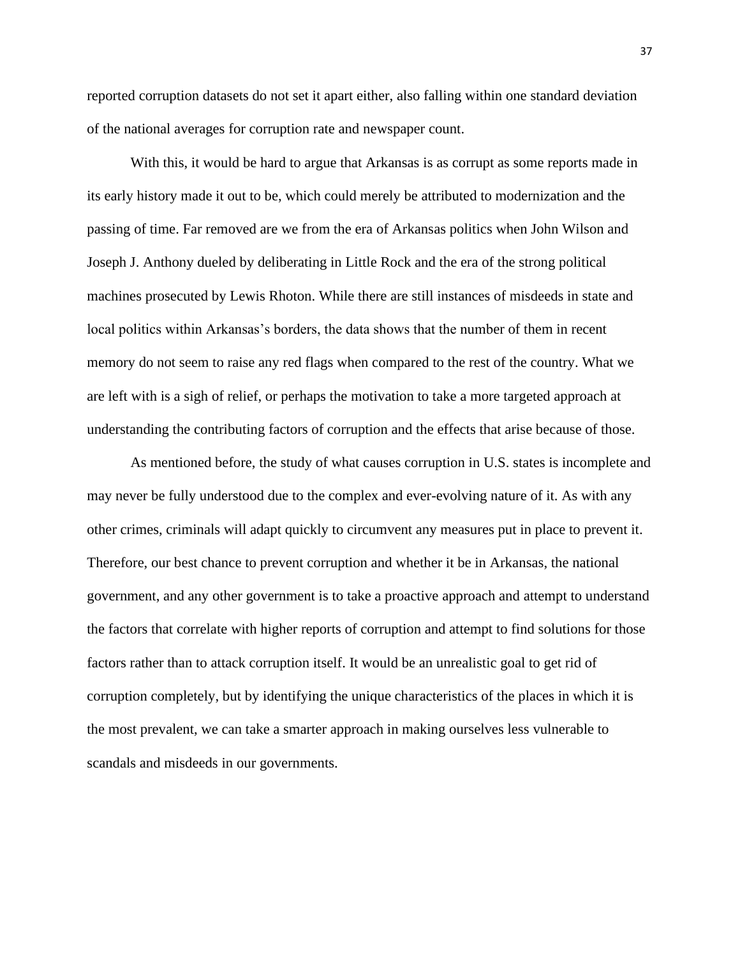reported corruption datasets do not set it apart either, also falling within one standard deviation of the national averages for corruption rate and newspaper count.

With this, it would be hard to argue that Arkansas is as corrupt as some reports made in its early history made it out to be, which could merely be attributed to modernization and the passing of time. Far removed are we from the era of Arkansas politics when John Wilson and Joseph J. Anthony dueled by deliberating in Little Rock and the era of the strong political machines prosecuted by Lewis Rhoton. While there are still instances of misdeeds in state and local politics within Arkansas's borders, the data shows that the number of them in recent memory do not seem to raise any red flags when compared to the rest of the country. What we are left with is a sigh of relief, or perhaps the motivation to take a more targeted approach at understanding the contributing factors of corruption and the effects that arise because of those.

As mentioned before, the study of what causes corruption in U.S. states is incomplete and may never be fully understood due to the complex and ever-evolving nature of it. As with any other crimes, criminals will adapt quickly to circumvent any measures put in place to prevent it. Therefore, our best chance to prevent corruption and whether it be in Arkansas, the national government, and any other government is to take a proactive approach and attempt to understand the factors that correlate with higher reports of corruption and attempt to find solutions for those factors rather than to attack corruption itself. It would be an unrealistic goal to get rid of corruption completely, but by identifying the unique characteristics of the places in which it is the most prevalent, we can take a smarter approach in making ourselves less vulnerable to scandals and misdeeds in our governments.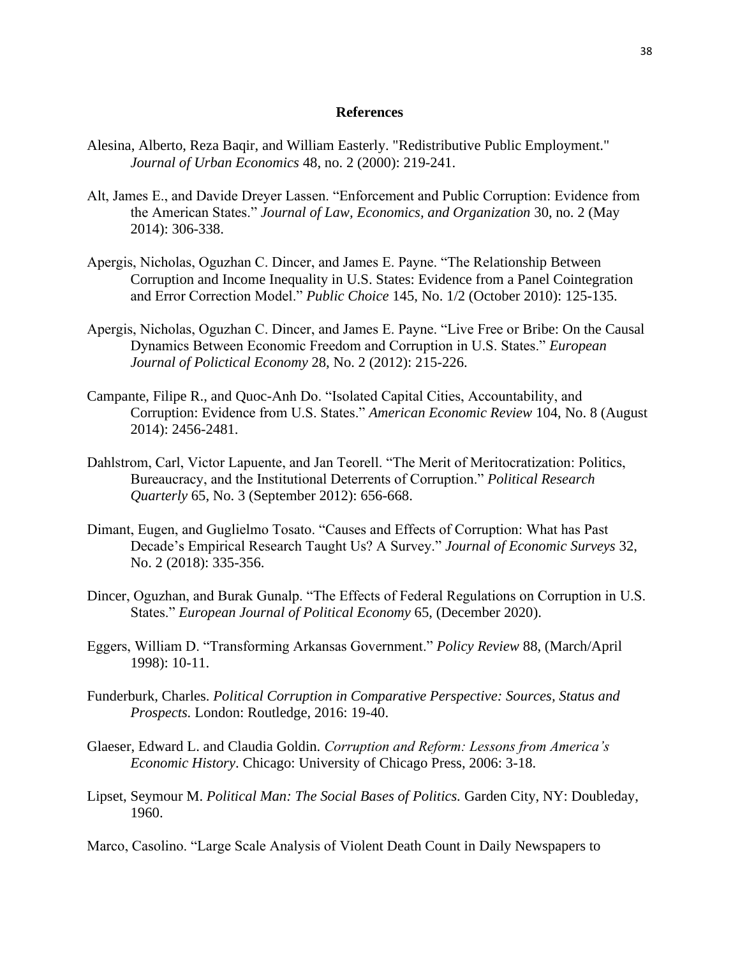### **References**

- Alesina, Alberto, Reza Baqir, and William Easterly. "Redistributive Public Employment." *Journal of Urban Economics* 48, no. 2 (2000): 219-241.
- Alt, James E., and Davide Dreyer Lassen. "Enforcement and Public Corruption: Evidence from the American States." *Journal of Law, Economics, and Organization* 30, no. 2 (May 2014): 306-338.
- Apergis, Nicholas, Oguzhan C. Dincer, and James E. Payne. "The Relationship Between Corruption and Income Inequality in U.S. States: Evidence from a Panel Cointegration and Error Correction Model." *Public Choice* 145, No. 1/2 (October 2010): 125-135.
- Apergis, Nicholas, Oguzhan C. Dincer, and James E. Payne. "Live Free or Bribe: On the Causal Dynamics Between Economic Freedom and Corruption in U.S. States." *European Journal of Polictical Economy* 28, No. 2 (2012): 215-226.
- Campante, Filipe R., and Quoc-Anh Do. "Isolated Capital Cities, Accountability, and Corruption: Evidence from U.S. States." *American Economic Review* 104, No. 8 (August 2014): 2456-2481.
- Dahlstrom, Carl, Victor Lapuente, and Jan Teorell. "The Merit of Meritocratization: Politics, Bureaucracy, and the Institutional Deterrents of Corruption." *Political Research Quarterly* 65, No. 3 (September 2012): 656-668.
- Dimant, Eugen, and Guglielmo Tosato. "Causes and Effects of Corruption: What has Past Decade's Empirical Research Taught Us? A Survey." *Journal of Economic Surveys* 32, No. 2 (2018): 335-356.
- Dincer, Oguzhan, and Burak Gunalp. "The Effects of Federal Regulations on Corruption in U.S. States." *European Journal of Political Economy* 65, (December 2020).
- Eggers, William D. "Transforming Arkansas Government." *Policy Review* 88, (March/April 1998): 10-11.
- Funderburk, Charles. *Political Corruption in Comparative Perspective: Sources, Status and Prospects.* London: Routledge, 2016: 19-40.
- Glaeser, Edward L. and Claudia Goldin. *Corruption and Reform: Lessons from America's Economic History*. Chicago: University of Chicago Press, 2006: 3-18.
- Lipset, Seymour M. *Political Man: The Social Bases of Politics.* Garden City, NY: Doubleday, 1960.
- Marco, Casolino. "Large Scale Analysis of Violent Death Count in Daily Newspapers to